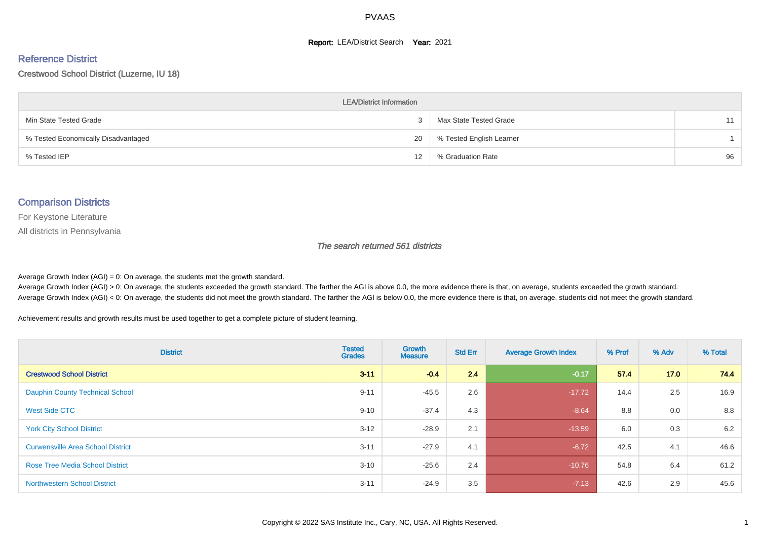#### **Report: LEA/District Search Year: 2021**

#### Reference District

#### Crestwood School District (Luzerne, IU 18)

| <b>LEA/District Information</b>     |    |                          |    |  |  |  |  |  |  |  |
|-------------------------------------|----|--------------------------|----|--|--|--|--|--|--|--|
| Min State Tested Grade              |    | Max State Tested Grade   | 11 |  |  |  |  |  |  |  |
| % Tested Economically Disadvantaged | 20 | % Tested English Learner |    |  |  |  |  |  |  |  |
| % Tested IEP                        | 12 | % Graduation Rate        | 96 |  |  |  |  |  |  |  |

#### Comparison Districts

For Keystone Literature

All districts in Pennsylvania

The search returned 561 districts

Average Growth Index  $(AGI) = 0$ : On average, the students met the growth standard.

Average Growth Index (AGI) > 0: On average, the students exceeded the growth standard. The farther the AGI is above 0.0, the more evidence there is that, on average, students exceeded the growth standard. Average Growth Index (AGI) < 0: On average, the students did not meet the growth standard. The farther the AGI is below 0.0, the more evidence there is that, on average, students did not meet the growth standard.

Achievement results and growth results must be used together to get a complete picture of student learning.

| <b>District</b>                          | <b>Tested</b><br><b>Grades</b> | Growth<br><b>Measure</b> | <b>Std Err</b> | <b>Average Growth Index</b> | % Prof | % Adv | % Total |
|------------------------------------------|--------------------------------|--------------------------|----------------|-----------------------------|--------|-------|---------|
| <b>Crestwood School District</b>         | $3 - 11$                       | $-0.4$                   | 2.4            | $-0.17$                     | 57.4   | 17.0  | 74.4    |
| <b>Dauphin County Technical School</b>   | $9 - 11$                       | $-45.5$                  | 2.6            | $-17.72$                    | 14.4   | 2.5   | 16.9    |
| West Side CTC                            | $9 - 10$                       | $-37.4$                  | 4.3            | $-8.64$                     | 8.8    | 0.0   | 8.8     |
| <b>York City School District</b>         | $3 - 12$                       | $-28.9$                  | 2.1            | $-13.59$                    | 6.0    | 0.3   | 6.2     |
| <b>Curwensville Area School District</b> | $3 - 11$                       | $-27.9$                  | 4.1            | $-6.72$                     | 42.5   | 4.1   | 46.6    |
| <b>Rose Tree Media School District</b>   | $3 - 10$                       | $-25.6$                  | 2.4            | $-10.76$                    | 54.8   | 6.4   | 61.2    |
| <b>Northwestern School District</b>      | $3 - 11$                       | $-24.9$                  | 3.5            | $-7.13$                     | 42.6   | 2.9   | 45.6    |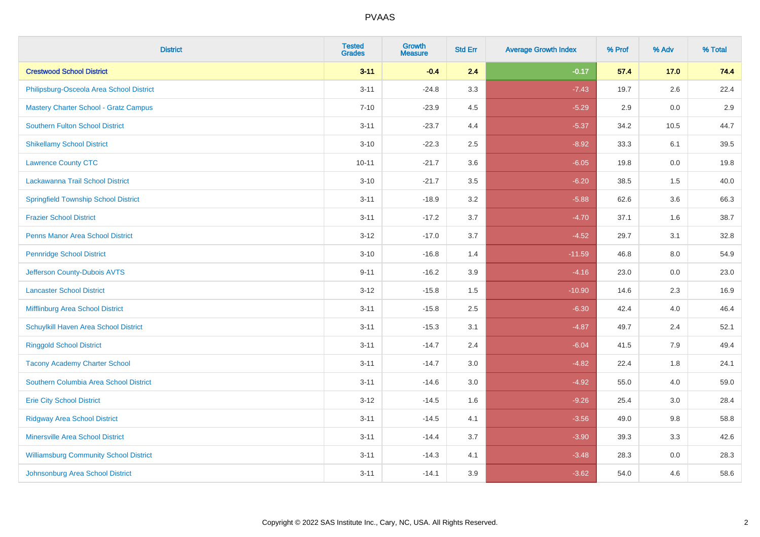| <b>District</b>                               | <b>Tested</b><br><b>Grades</b> | Growth<br><b>Measure</b> | <b>Std Err</b> | <b>Average Growth Index</b> | % Prof | % Adv | % Total |
|-----------------------------------------------|--------------------------------|--------------------------|----------------|-----------------------------|--------|-------|---------|
| <b>Crestwood School District</b>              | $3 - 11$                       | $-0.4$                   | 2.4            | $-0.17$                     | 57.4   | 17.0  | 74.4    |
| Philipsburg-Osceola Area School District      | $3 - 11$                       | $-24.8$                  | 3.3            | $-7.43$                     | 19.7   | 2.6   | 22.4    |
| <b>Mastery Charter School - Gratz Campus</b>  | $7 - 10$                       | $-23.9$                  | 4.5            | $-5.29$                     | 2.9    | 0.0   | 2.9     |
| <b>Southern Fulton School District</b>        | $3 - 11$                       | $-23.7$                  | 4.4            | $-5.37$                     | 34.2   | 10.5  | 44.7    |
| <b>Shikellamy School District</b>             | $3 - 10$                       | $-22.3$                  | 2.5            | $-8.92$                     | 33.3   | 6.1   | 39.5    |
| <b>Lawrence County CTC</b>                    | $10 - 11$                      | $-21.7$                  | 3.6            | $-6.05$                     | 19.8   | 0.0   | 19.8    |
| Lackawanna Trail School District              | $3 - 10$                       | $-21.7$                  | 3.5            | $-6.20$                     | 38.5   | 1.5   | 40.0    |
| <b>Springfield Township School District</b>   | $3 - 11$                       | $-18.9$                  | 3.2            | $-5.88$                     | 62.6   | 3.6   | 66.3    |
| <b>Frazier School District</b>                | $3 - 11$                       | $-17.2$                  | 3.7            | $-4.70$                     | 37.1   | 1.6   | 38.7    |
| <b>Penns Manor Area School District</b>       | $3 - 12$                       | $-17.0$                  | 3.7            | $-4.52$                     | 29.7   | 3.1   | 32.8    |
| <b>Pennridge School District</b>              | $3 - 10$                       | $-16.8$                  | 1.4            | $-11.59$                    | 46.8   | 8.0   | 54.9    |
| Jefferson County-Dubois AVTS                  | $9 - 11$                       | $-16.2$                  | 3.9            | $-4.16$                     | 23.0   | 0.0   | 23.0    |
| <b>Lancaster School District</b>              | $3 - 12$                       | $-15.8$                  | 1.5            | $-10.90$                    | 14.6   | 2.3   | 16.9    |
| Mifflinburg Area School District              | $3 - 11$                       | $-15.8$                  | 2.5            | $-6.30$                     | 42.4   | 4.0   | 46.4    |
| Schuylkill Haven Area School District         | $3 - 11$                       | $-15.3$                  | 3.1            | $-4.87$                     | 49.7   | 2.4   | 52.1    |
| <b>Ringgold School District</b>               | $3 - 11$                       | $-14.7$                  | 2.4            | $-6.04$                     | 41.5   | 7.9   | 49.4    |
| <b>Tacony Academy Charter School</b>          | $3 - 11$                       | $-14.7$                  | 3.0            | $-4.82$                     | 22.4   | 1.8   | 24.1    |
| Southern Columbia Area School District        | $3 - 11$                       | $-14.6$                  | 3.0            | $-4.92$                     | 55.0   | 4.0   | 59.0    |
| <b>Erie City School District</b>              | $3 - 12$                       | $-14.5$                  | 1.6            | $-9.26$                     | 25.4   | 3.0   | 28.4    |
| <b>Ridgway Area School District</b>           | $3 - 11$                       | $-14.5$                  | 4.1            | $-3.56$                     | 49.0   | 9.8   | 58.8    |
| Minersville Area School District              | $3 - 11$                       | $-14.4$                  | 3.7            | $-3.90$                     | 39.3   | 3.3   | 42.6    |
| <b>Williamsburg Community School District</b> | $3 - 11$                       | $-14.3$                  | 4.1            | $-3.48$                     | 28.3   | 0.0   | 28.3    |
| Johnsonburg Area School District              | $3 - 11$                       | $-14.1$                  | 3.9            | $-3.62$                     | 54.0   | 4.6   | 58.6    |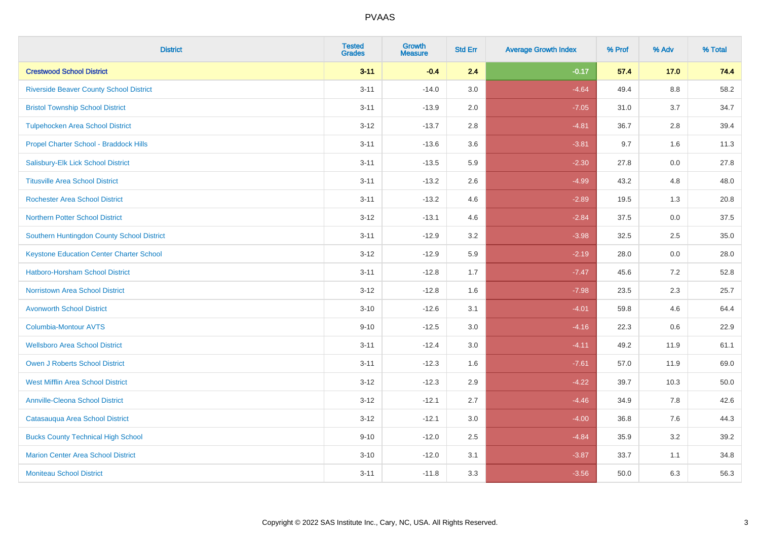| <b>District</b>                                 | <b>Tested</b><br><b>Grades</b> | <b>Growth</b><br><b>Measure</b> | <b>Std Err</b> | <b>Average Growth Index</b> | % Prof | % Adv   | % Total |
|-------------------------------------------------|--------------------------------|---------------------------------|----------------|-----------------------------|--------|---------|---------|
| <b>Crestwood School District</b>                | $3 - 11$                       | $-0.4$                          | 2.4            | $-0.17$                     | 57.4   | 17.0    | 74.4    |
| <b>Riverside Beaver County School District</b>  | $3 - 11$                       | $-14.0$                         | 3.0            | $-4.64$                     | 49.4   | $8.8\,$ | 58.2    |
| <b>Bristol Township School District</b>         | $3 - 11$                       | $-13.9$                         | 2.0            | $-7.05$                     | 31.0   | 3.7     | 34.7    |
| <b>Tulpehocken Area School District</b>         | $3 - 12$                       | $-13.7$                         | 2.8            | $-4.81$                     | 36.7   | 2.8     | 39.4    |
| Propel Charter School - Braddock Hills          | $3 - 11$                       | $-13.6$                         | 3.6            | $-3.81$                     | 9.7    | 1.6     | 11.3    |
| Salisbury-Elk Lick School District              | $3 - 11$                       | $-13.5$                         | 5.9            | $-2.30$                     | 27.8   | 0.0     | 27.8    |
| <b>Titusville Area School District</b>          | $3 - 11$                       | $-13.2$                         | 2.6            | $-4.99$                     | 43.2   | 4.8     | 48.0    |
| <b>Rochester Area School District</b>           | $3 - 11$                       | $-13.2$                         | 4.6            | $-2.89$                     | 19.5   | 1.3     | 20.8    |
| <b>Northern Potter School District</b>          | $3 - 12$                       | $-13.1$                         | 4.6            | $-2.84$                     | 37.5   | 0.0     | 37.5    |
| Southern Huntingdon County School District      | $3 - 11$                       | $-12.9$                         | 3.2            | $-3.98$                     | 32.5   | 2.5     | 35.0    |
| <b>Keystone Education Center Charter School</b> | $3 - 12$                       | $-12.9$                         | 5.9            | $-2.19$                     | 28.0   | 0.0     | 28.0    |
| <b>Hatboro-Horsham School District</b>          | $3 - 11$                       | $-12.8$                         | 1.7            | $-7.47$                     | 45.6   | 7.2     | 52.8    |
| <b>Norristown Area School District</b>          | $3 - 12$                       | $-12.8$                         | 1.6            | $-7.98$                     | 23.5   | 2.3     | 25.7    |
| <b>Avonworth School District</b>                | $3 - 10$                       | $-12.6$                         | 3.1            | $-4.01$                     | 59.8   | 4.6     | 64.4    |
| <b>Columbia-Montour AVTS</b>                    | $9 - 10$                       | $-12.5$                         | 3.0            | $-4.16$                     | 22.3   | 0.6     | 22.9    |
| <b>Wellsboro Area School District</b>           | $3 - 11$                       | $-12.4$                         | 3.0            | $-4.11$                     | 49.2   | 11.9    | 61.1    |
| Owen J Roberts School District                  | $3 - 11$                       | $-12.3$                         | 1.6            | $-7.61$                     | 57.0   | 11.9    | 69.0    |
| <b>West Mifflin Area School District</b>        | $3 - 12$                       | $-12.3$                         | 2.9            | $-4.22$                     | 39.7   | 10.3    | 50.0    |
| <b>Annville-Cleona School District</b>          | $3 - 12$                       | $-12.1$                         | 2.7            | $-4.46$                     | 34.9   | 7.8     | 42.6    |
| Catasauqua Area School District                 | $3 - 12$                       | $-12.1$                         | 3.0            | $-4.00$                     | 36.8   | 7.6     | 44.3    |
| <b>Bucks County Technical High School</b>       | $9 - 10$                       | $-12.0$                         | 2.5            | $-4.84$                     | 35.9   | 3.2     | 39.2    |
| <b>Marion Center Area School District</b>       | $3 - 10$                       | $-12.0$                         | 3.1            | $-3.87$                     | 33.7   | 1.1     | 34.8    |
| <b>Moniteau School District</b>                 | $3 - 11$                       | $-11.8$                         | 3.3            | $-3.56$                     | 50.0   | 6.3     | 56.3    |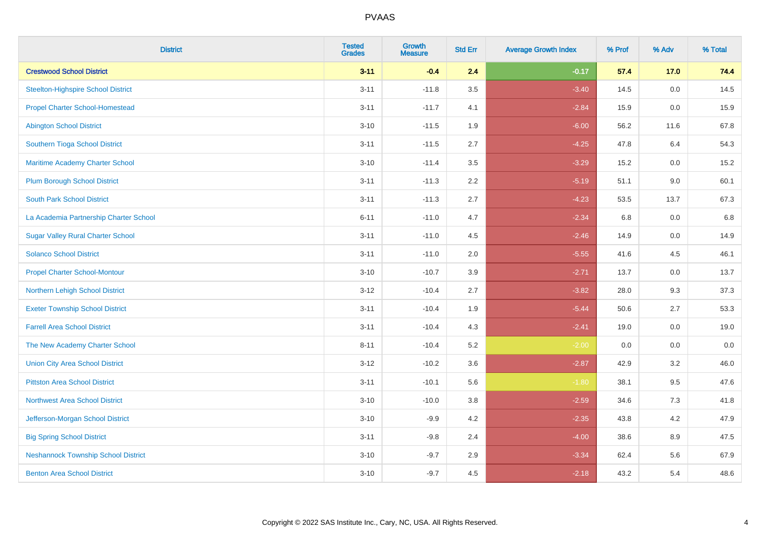| <b>District</b>                            | <b>Tested</b><br><b>Grades</b> | <b>Growth</b><br><b>Measure</b> | <b>Std Err</b> | <b>Average Growth Index</b> | % Prof | % Adv | % Total |
|--------------------------------------------|--------------------------------|---------------------------------|----------------|-----------------------------|--------|-------|---------|
| <b>Crestwood School District</b>           | $3 - 11$                       | $-0.4$                          | 2.4            | $-0.17$                     | 57.4   | 17.0  | 74.4    |
| <b>Steelton-Highspire School District</b>  | $3 - 11$                       | $-11.8$                         | 3.5            | $-3.40$                     | 14.5   | 0.0   | 14.5    |
| <b>Propel Charter School-Homestead</b>     | $3 - 11$                       | $-11.7$                         | 4.1            | $-2.84$                     | 15.9   | 0.0   | 15.9    |
| <b>Abington School District</b>            | $3 - 10$                       | $-11.5$                         | 1.9            | $-6.00$                     | 56.2   | 11.6  | 67.8    |
| Southern Tioga School District             | $3 - 11$                       | $-11.5$                         | 2.7            | $-4.25$                     | 47.8   | 6.4   | 54.3    |
| Maritime Academy Charter School            | $3 - 10$                       | $-11.4$                         | 3.5            | $-3.29$                     | 15.2   | 0.0   | 15.2    |
| <b>Plum Borough School District</b>        | $3 - 11$                       | $-11.3$                         | 2.2            | $-5.19$                     | 51.1   | 9.0   | 60.1    |
| <b>South Park School District</b>          | $3 - 11$                       | $-11.3$                         | 2.7            | $-4.23$                     | 53.5   | 13.7  | 67.3    |
| La Academia Partnership Charter School     | $6 - 11$                       | $-11.0$                         | 4.7            | $-2.34$                     | 6.8    | 0.0   | 6.8     |
| <b>Sugar Valley Rural Charter School</b>   | $3 - 11$                       | $-11.0$                         | 4.5            | $-2.46$                     | 14.9   | 0.0   | 14.9    |
| <b>Solanco School District</b>             | $3 - 11$                       | $-11.0$                         | 2.0            | $-5.55$                     | 41.6   | 4.5   | 46.1    |
| <b>Propel Charter School-Montour</b>       | $3 - 10$                       | $-10.7$                         | 3.9            | $-2.71$                     | 13.7   | 0.0   | 13.7    |
| Northern Lehigh School District            | $3 - 12$                       | $-10.4$                         | 2.7            | $-3.82$                     | 28.0   | 9.3   | 37.3    |
| <b>Exeter Township School District</b>     | $3 - 11$                       | $-10.4$                         | 1.9            | $-5.44$                     | 50.6   | 2.7   | 53.3    |
| <b>Farrell Area School District</b>        | $3 - 11$                       | $-10.4$                         | 4.3            | $-2.41$                     | 19.0   | 0.0   | 19.0    |
| The New Academy Charter School             | $8 - 11$                       | $-10.4$                         | 5.2            | $-2.00$                     | 0.0    | 0.0   | $0.0\,$ |
| <b>Union City Area School District</b>     | $3 - 12$                       | $-10.2$                         | 3.6            | $-2.87$                     | 42.9   | 3.2   | 46.0    |
| <b>Pittston Area School District</b>       | $3 - 11$                       | $-10.1$                         | 5.6            | $-1.80$                     | 38.1   | 9.5   | 47.6    |
| <b>Northwest Area School District</b>      | $3 - 10$                       | $-10.0$                         | 3.8            | $-2.59$                     | 34.6   | $7.3$ | 41.8    |
| Jefferson-Morgan School District           | $3 - 10$                       | $-9.9$                          | 4.2            | $-2.35$                     | 43.8   | 4.2   | 47.9    |
| <b>Big Spring School District</b>          | $3 - 11$                       | $-9.8$                          | 2.4            | $-4.00$                     | 38.6   | 8.9   | 47.5    |
| <b>Neshannock Township School District</b> | $3 - 10$                       | $-9.7$                          | 2.9            | $-3.34$                     | 62.4   | 5.6   | 67.9    |
| <b>Benton Area School District</b>         | $3 - 10$                       | $-9.7$                          | 4.5            | $-2.18$                     | 43.2   | 5.4   | 48.6    |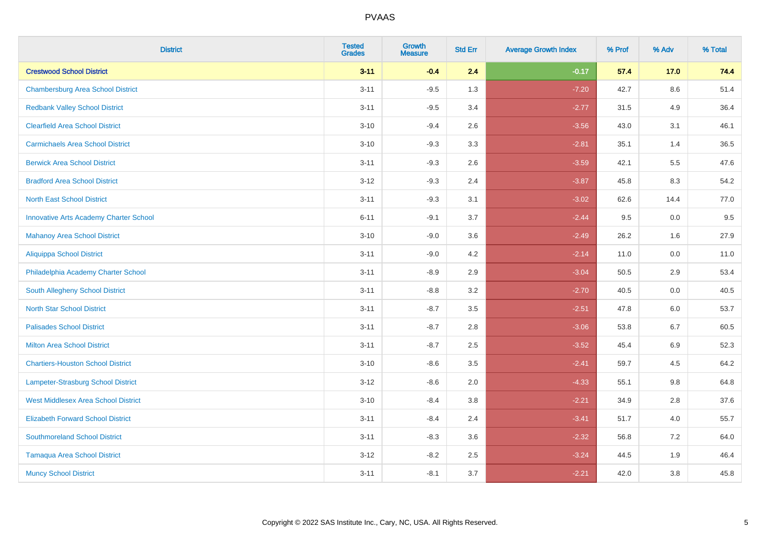| <b>District</b>                               | <b>Tested</b><br><b>Grades</b> | <b>Growth</b><br><b>Measure</b> | <b>Std Err</b> | <b>Average Growth Index</b> | % Prof | % Adv   | % Total |
|-----------------------------------------------|--------------------------------|---------------------------------|----------------|-----------------------------|--------|---------|---------|
| <b>Crestwood School District</b>              | $3 - 11$                       | $-0.4$                          | 2.4            | $-0.17$                     | 57.4   | 17.0    | 74.4    |
| <b>Chambersburg Area School District</b>      | $3 - 11$                       | $-9.5$                          | 1.3            | $-7.20$                     | 42.7   | $8.6\,$ | 51.4    |
| <b>Redbank Valley School District</b>         | $3 - 11$                       | $-9.5$                          | 3.4            | $-2.77$                     | 31.5   | 4.9     | 36.4    |
| <b>Clearfield Area School District</b>        | $3 - 10$                       | $-9.4$                          | 2.6            | $-3.56$                     | 43.0   | 3.1     | 46.1    |
| <b>Carmichaels Area School District</b>       | $3 - 10$                       | $-9.3$                          | 3.3            | $-2.81$                     | 35.1   | 1.4     | 36.5    |
| <b>Berwick Area School District</b>           | $3 - 11$                       | $-9.3$                          | 2.6            | $-3.59$                     | 42.1   | 5.5     | 47.6    |
| <b>Bradford Area School District</b>          | $3 - 12$                       | $-9.3$                          | 2.4            | $-3.87$                     | 45.8   | 8.3     | 54.2    |
| <b>North East School District</b>             | $3 - 11$                       | $-9.3$                          | 3.1            | $-3.02$                     | 62.6   | 14.4    | 77.0    |
| <b>Innovative Arts Academy Charter School</b> | $6 - 11$                       | $-9.1$                          | 3.7            | $-2.44$                     | 9.5    | 0.0     | 9.5     |
| <b>Mahanoy Area School District</b>           | $3 - 10$                       | $-9.0$                          | 3.6            | $-2.49$                     | 26.2   | 1.6     | 27.9    |
| <b>Aliquippa School District</b>              | $3 - 11$                       | $-9.0$                          | 4.2            | $-2.14$                     | 11.0   | 0.0     | 11.0    |
| Philadelphia Academy Charter School           | $3 - 11$                       | $-8.9$                          | 2.9            | $-3.04$                     | 50.5   | 2.9     | 53.4    |
| South Allegheny School District               | $3 - 11$                       | $-8.8$                          | 3.2            | $-2.70$                     | 40.5   | 0.0     | 40.5    |
| <b>North Star School District</b>             | $3 - 11$                       | $-8.7$                          | 3.5            | $-2.51$                     | 47.8   | 6.0     | 53.7    |
| <b>Palisades School District</b>              | $3 - 11$                       | $-8.7$                          | 2.8            | $-3.06$                     | 53.8   | 6.7     | 60.5    |
| <b>Milton Area School District</b>            | $3 - 11$                       | $-8.7$                          | 2.5            | $-3.52$                     | 45.4   | 6.9     | 52.3    |
| <b>Chartiers-Houston School District</b>      | $3 - 10$                       | $-8.6$                          | 3.5            | $-2.41$                     | 59.7   | 4.5     | 64.2    |
| <b>Lampeter-Strasburg School District</b>     | $3 - 12$                       | $-8.6$                          | 2.0            | $-4.33$                     | 55.1   | 9.8     | 64.8    |
| <b>West Middlesex Area School District</b>    | $3 - 10$                       | $-8.4$                          | 3.8            | $-2.21$                     | 34.9   | 2.8     | 37.6    |
| <b>Elizabeth Forward School District</b>      | $3 - 11$                       | $-8.4$                          | 2.4            | $-3.41$                     | 51.7   | 4.0     | 55.7    |
| <b>Southmoreland School District</b>          | $3 - 11$                       | $-8.3$                          | 3.6            | $-2.32$                     | 56.8   | 7.2     | 64.0    |
| <b>Tamaqua Area School District</b>           | $3 - 12$                       | $-8.2$                          | 2.5            | $-3.24$                     | 44.5   | 1.9     | 46.4    |
| <b>Muncy School District</b>                  | $3 - 11$                       | $-8.1$                          | 3.7            | $-2.21$                     | 42.0   | 3.8     | 45.8    |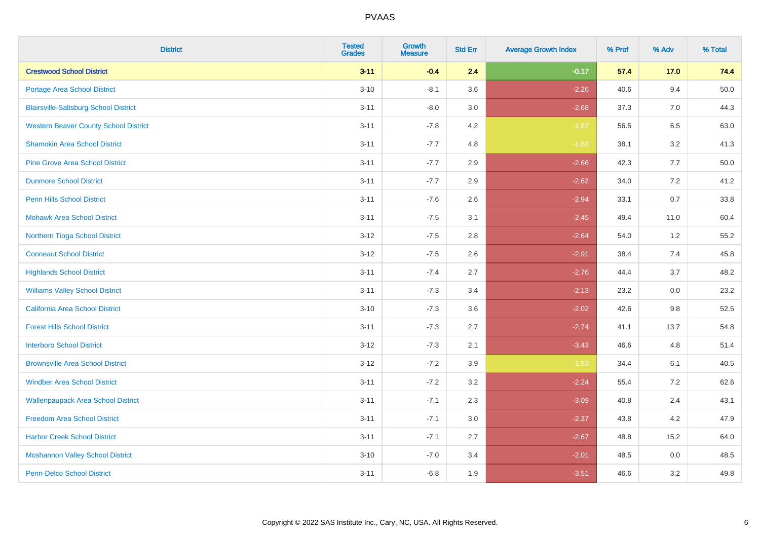| <b>District</b>                              | <b>Tested</b><br><b>Grades</b> | <b>Growth</b><br><b>Measure</b> | <b>Std Err</b> | <b>Average Growth Index</b> | % Prof | % Adv | % Total |
|----------------------------------------------|--------------------------------|---------------------------------|----------------|-----------------------------|--------|-------|---------|
| <b>Crestwood School District</b>             | $3 - 11$                       | $-0.4$                          | 2.4            | $-0.17$                     | 57.4   | 17.0  | 74.4    |
| <b>Portage Area School District</b>          | $3 - 10$                       | $-8.1$                          | 3.6            | $-2.26$                     | 40.6   | 9.4   | 50.0    |
| <b>Blairsville-Saltsburg School District</b> | $3 - 11$                       | $-8.0$                          | 3.0            | $-2.68$                     | 37.3   | 7.0   | 44.3    |
| <b>Western Beaver County School District</b> | $3 - 11$                       | $-7.8$                          | 4.2            | $-1.87$                     | 56.5   | 6.5   | 63.0    |
| <b>Shamokin Area School District</b>         | $3 - 11$                       | $-7.7$                          | 4.8            | $-1.60$                     | 38.1   | 3.2   | 41.3    |
| <b>Pine Grove Area School District</b>       | $3 - 11$                       | $-7.7$                          | 2.9            | $-2.66$                     | 42.3   | 7.7   | 50.0    |
| <b>Dunmore School District</b>               | $3 - 11$                       | $-7.7$                          | 2.9            | $-2.62$                     | 34.0   | 7.2   | 41.2    |
| <b>Penn Hills School District</b>            | $3 - 11$                       | $-7.6$                          | 2.6            | $-2.94$                     | 33.1   | 0.7   | 33.8    |
| <b>Mohawk Area School District</b>           | $3 - 11$                       | $-7.5$                          | 3.1            | $-2.45$                     | 49.4   | 11.0  | 60.4    |
| Northern Tioga School District               | $3 - 12$                       | $-7.5$                          | 2.8            | $-2.64$                     | 54.0   | 1.2   | 55.2    |
| <b>Conneaut School District</b>              | $3 - 12$                       | $-7.5$                          | 2.6            | $-2.91$                     | 38.4   | 7.4   | 45.8    |
| <b>Highlands School District</b>             | $3 - 11$                       | $-7.4$                          | 2.7            | $-2.76$                     | 44.4   | 3.7   | 48.2    |
| <b>Williams Valley School District</b>       | $3 - 11$                       | $-7.3$                          | 3.4            | $-2.13$                     | 23.2   | 0.0   | 23.2    |
| <b>California Area School District</b>       | $3 - 10$                       | $-7.3$                          | 3.6            | $-2.02$                     | 42.6   | 9.8   | 52.5    |
| <b>Forest Hills School District</b>          | $3 - 11$                       | $-7.3$                          | 2.7            | $-2.74$                     | 41.1   | 13.7  | 54.8    |
| <b>Interboro School District</b>             | $3 - 12$                       | $-7.3$                          | 2.1            | $-3.43$                     | 46.6   | 4.8   | 51.4    |
| <b>Brownsville Area School District</b>      | $3 - 12$                       | $-7.2$                          | 3.9            | $-1.83$                     | 34.4   | 6.1   | 40.5    |
| <b>Windber Area School District</b>          | $3 - 11$                       | $-7.2$                          | 3.2            | $-2.24$                     | 55.4   | 7.2   | 62.6    |
| <b>Wallenpaupack Area School District</b>    | $3 - 11$                       | $-7.1$                          | 2.3            | $-3.09$                     | 40.8   | 2.4   | 43.1    |
| <b>Freedom Area School District</b>          | $3 - 11$                       | $-7.1$                          | 3.0            | $-2.37$                     | 43.8   | 4.2   | 47.9    |
| <b>Harbor Creek School District</b>          | $3 - 11$                       | $-7.1$                          | 2.7            | $-2.67$                     | 48.8   | 15.2  | 64.0    |
| <b>Moshannon Valley School District</b>      | $3 - 10$                       | $-7.0$                          | 3.4            | $-2.01$                     | 48.5   | 0.0   | 48.5    |
| <b>Penn-Delco School District</b>            | $3 - 11$                       | $-6.8$                          | 1.9            | $-3.51$                     | 46.6   | 3.2   | 49.8    |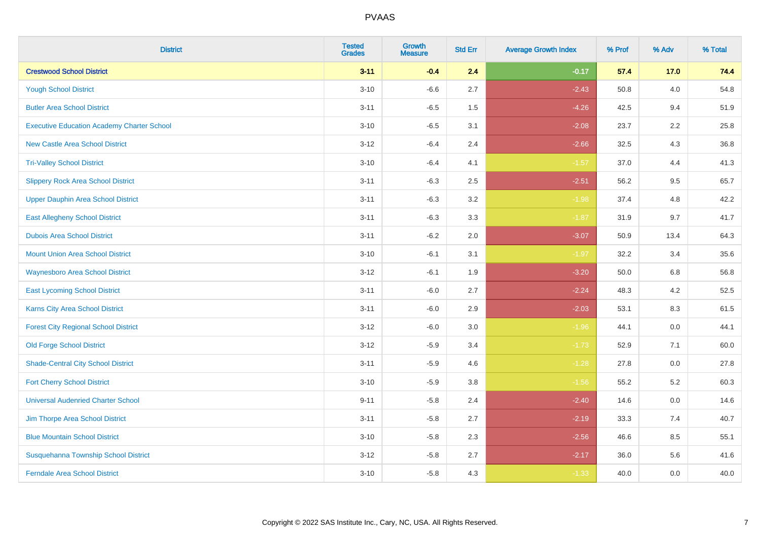| <b>District</b>                                   | <b>Tested</b><br><b>Grades</b> | <b>Growth</b><br><b>Measure</b> | <b>Std Err</b> | <b>Average Growth Index</b> | % Prof | % Adv   | % Total |
|---------------------------------------------------|--------------------------------|---------------------------------|----------------|-----------------------------|--------|---------|---------|
| <b>Crestwood School District</b>                  | $3 - 11$                       | $-0.4$                          | 2.4            | $-0.17$                     | 57.4   | 17.0    | 74.4    |
| <b>Yough School District</b>                      | $3 - 10$                       | $-6.6$                          | 2.7            | $-2.43$                     | 50.8   | 4.0     | 54.8    |
| <b>Butler Area School District</b>                | $3 - 11$                       | $-6.5$                          | 1.5            | $-4.26$                     | 42.5   | 9.4     | 51.9    |
| <b>Executive Education Academy Charter School</b> | $3 - 10$                       | $-6.5$                          | 3.1            | $-2.08$                     | 23.7   | 2.2     | 25.8    |
| <b>New Castle Area School District</b>            | $3 - 12$                       | $-6.4$                          | 2.4            | $-2.66$                     | 32.5   | 4.3     | 36.8    |
| <b>Tri-Valley School District</b>                 | $3 - 10$                       | $-6.4$                          | 4.1            | $-1.57$                     | 37.0   | 4.4     | 41.3    |
| <b>Slippery Rock Area School District</b>         | $3 - 11$                       | $-6.3$                          | 2.5            | $-2.51$                     | 56.2   | 9.5     | 65.7    |
| <b>Upper Dauphin Area School District</b>         | $3 - 11$                       | $-6.3$                          | 3.2            | $-1.98$                     | 37.4   | 4.8     | 42.2    |
| <b>East Allegheny School District</b>             | $3 - 11$                       | $-6.3$                          | 3.3            | $-1.87$                     | 31.9   | 9.7     | 41.7    |
| <b>Dubois Area School District</b>                | $3 - 11$                       | $-6.2$                          | 2.0            | $-3.07$                     | 50.9   | 13.4    | 64.3    |
| <b>Mount Union Area School District</b>           | $3 - 10$                       | $-6.1$                          | 3.1            | $-1.97$                     | 32.2   | 3.4     | 35.6    |
| Waynesboro Area School District                   | $3 - 12$                       | $-6.1$                          | 1.9            | $-3.20$                     | 50.0   | 6.8     | 56.8    |
| <b>East Lycoming School District</b>              | $3 - 11$                       | $-6.0$                          | 2.7            | $-2.24$                     | 48.3   | $4.2\,$ | 52.5    |
| <b>Karns City Area School District</b>            | $3 - 11$                       | $-6.0$                          | 2.9            | $-2.03$                     | 53.1   | 8.3     | 61.5    |
| <b>Forest City Regional School District</b>       | $3 - 12$                       | $-6.0$                          | 3.0            | $-1.96$                     | 44.1   | 0.0     | 44.1    |
| <b>Old Forge School District</b>                  | $3 - 12$                       | $-5.9$                          | 3.4            | $-1.73$                     | 52.9   | 7.1     | 60.0    |
| <b>Shade-Central City School District</b>         | $3 - 11$                       | $-5.9$                          | 4.6            | $-1.28$                     | 27.8   | 0.0     | 27.8    |
| <b>Fort Cherry School District</b>                | $3 - 10$                       | $-5.9$                          | 3.8            | $-1.56$                     | 55.2   | 5.2     | 60.3    |
| <b>Universal Audenried Charter School</b>         | $9 - 11$                       | $-5.8$                          | 2.4            | $-2.40$                     | 14.6   | 0.0     | 14.6    |
| Jim Thorpe Area School District                   | $3 - 11$                       | $-5.8$                          | 2.7            | $-2.19$                     | 33.3   | 7.4     | 40.7    |
| <b>Blue Mountain School District</b>              | $3 - 10$                       | $-5.8$                          | 2.3            | $-2.56$                     | 46.6   | 8.5     | 55.1    |
| Susquehanna Township School District              | $3 - 12$                       | $-5.8$                          | 2.7            | $-2.17$                     | 36.0   | 5.6     | 41.6    |
| <b>Ferndale Area School District</b>              | $3 - 10$                       | $-5.8$                          | 4.3            | $-1.33$                     | 40.0   | 0.0     | 40.0    |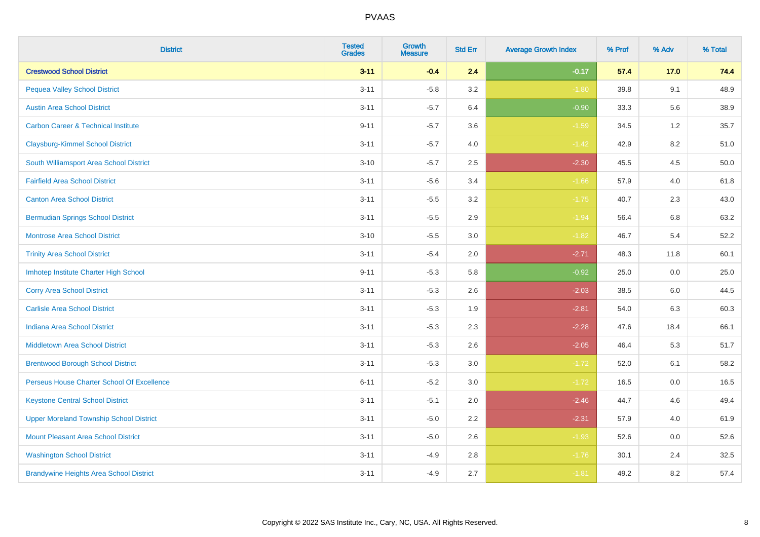| <b>District</b>                                | <b>Tested</b><br><b>Grades</b> | Growth<br><b>Measure</b> | <b>Std Err</b> | <b>Average Growth Index</b> | % Prof | % Adv   | % Total |
|------------------------------------------------|--------------------------------|--------------------------|----------------|-----------------------------|--------|---------|---------|
| <b>Crestwood School District</b>               | $3 - 11$                       | $-0.4$                   | 2.4            | $-0.17$                     | 57.4   | 17.0    | 74.4    |
| <b>Pequea Valley School District</b>           | $3 - 11$                       | $-5.8$                   | 3.2            | $-1.80$                     | 39.8   | 9.1     | 48.9    |
| <b>Austin Area School District</b>             | $3 - 11$                       | $-5.7$                   | 6.4            | $-0.90$                     | 33.3   | 5.6     | 38.9    |
| <b>Carbon Career &amp; Technical Institute</b> | $9 - 11$                       | $-5.7$                   | 3.6            | $-1.59$                     | 34.5   | $1.2\,$ | 35.7    |
| <b>Claysburg-Kimmel School District</b>        | $3 - 11$                       | $-5.7$                   | 4.0            | $-1.42$                     | 42.9   | 8.2     | 51.0    |
| South Williamsport Area School District        | $3 - 10$                       | $-5.7$                   | 2.5            | $-2.30$                     | 45.5   | 4.5     | 50.0    |
| <b>Fairfield Area School District</b>          | $3 - 11$                       | $-5.6$                   | 3.4            | $-1.66$                     | 57.9   | 4.0     | 61.8    |
| <b>Canton Area School District</b>             | $3 - 11$                       | $-5.5$                   | 3.2            | $-1.75$                     | 40.7   | 2.3     | 43.0    |
| <b>Bermudian Springs School District</b>       | $3 - 11$                       | $-5.5$                   | 2.9            | $-1.94$                     | 56.4   | 6.8     | 63.2    |
| <b>Montrose Area School District</b>           | $3 - 10$                       | $-5.5$                   | 3.0            | $-1.82$                     | 46.7   | 5.4     | 52.2    |
| <b>Trinity Area School District</b>            | $3 - 11$                       | $-5.4$                   | 2.0            | $-2.71$                     | 48.3   | 11.8    | 60.1    |
| Imhotep Institute Charter High School          | $9 - 11$                       | $-5.3$                   | 5.8            | $-0.92$                     | 25.0   | 0.0     | 25.0    |
| <b>Corry Area School District</b>              | $3 - 11$                       | $-5.3$                   | 2.6            | $-2.03$                     | 38.5   | 6.0     | 44.5    |
| <b>Carlisle Area School District</b>           | $3 - 11$                       | $-5.3$                   | 1.9            | $-2.81$                     | 54.0   | 6.3     | 60.3    |
| <b>Indiana Area School District</b>            | $3 - 11$                       | $-5.3$                   | 2.3            | $-2.28$                     | 47.6   | 18.4    | 66.1    |
| <b>Middletown Area School District</b>         | $3 - 11$                       | $-5.3$                   | 2.6            | $-2.05$                     | 46.4   | 5.3     | 51.7    |
| <b>Brentwood Borough School District</b>       | $3 - 11$                       | $-5.3$                   | 3.0            | $-1.72$                     | 52.0   | 6.1     | 58.2    |
| Perseus House Charter School Of Excellence     | $6 - 11$                       | $-5.2$                   | 3.0            | $-1.72$                     | 16.5   | 0.0     | 16.5    |
| <b>Keystone Central School District</b>        | $3 - 11$                       | $-5.1$                   | 2.0            | $-2.46$                     | 44.7   | 4.6     | 49.4    |
| <b>Upper Moreland Township School District</b> | $3 - 11$                       | $-5.0$                   | 2.2            | $-2.31$                     | 57.9   | 4.0     | 61.9    |
| <b>Mount Pleasant Area School District</b>     | $3 - 11$                       | $-5.0$                   | 2.6            | $-1.93$                     | 52.6   | 0.0     | 52.6    |
| <b>Washington School District</b>              | $3 - 11$                       | $-4.9$                   | 2.8            | $-1.76$                     | 30.1   | 2.4     | 32.5    |
| <b>Brandywine Heights Area School District</b> | $3 - 11$                       | $-4.9$                   | 2.7            | $-1.81$                     | 49.2   | 8.2     | 57.4    |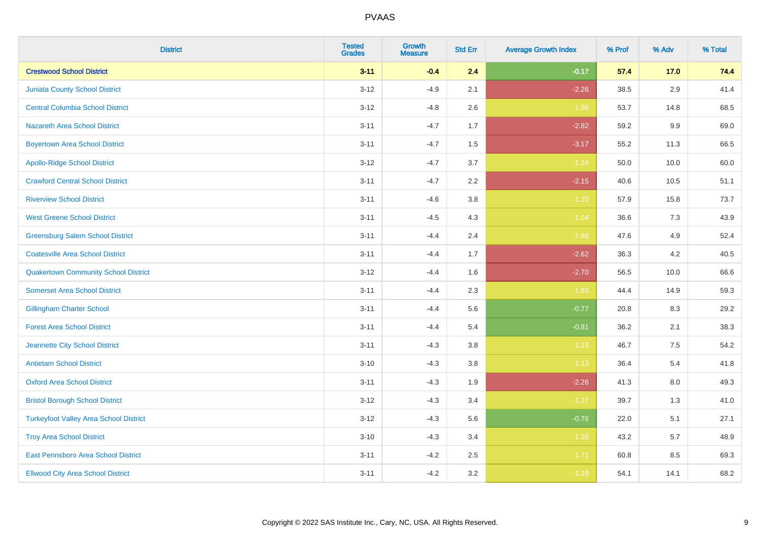| <b>District</b>                               | <b>Tested</b><br><b>Grades</b> | <b>Growth</b><br><b>Measure</b> | <b>Std Err</b> | <b>Average Growth Index</b> | % Prof | % Adv   | % Total |
|-----------------------------------------------|--------------------------------|---------------------------------|----------------|-----------------------------|--------|---------|---------|
| <b>Crestwood School District</b>              | $3 - 11$                       | $-0.4$                          | 2.4            | $-0.17$                     | 57.4   | 17.0    | 74.4    |
| <b>Juniata County School District</b>         | $3 - 12$                       | $-4.9$                          | 2.1            | $-2.26$                     | 38.5   | $2.9\,$ | 41.4    |
| <b>Central Columbia School District</b>       | $3 - 12$                       | $-4.8$                          | 2.6            | $-1.86$                     | 53.7   | 14.8    | 68.5    |
| <b>Nazareth Area School District</b>          | $3 - 11$                       | $-4.7$                          | 1.7            | $-2.82$                     | 59.2   | $9.9\,$ | 69.0    |
| <b>Boyertown Area School District</b>         | $3 - 11$                       | $-4.7$                          | 1.5            | $-3.17$                     | 55.2   | 11.3    | 66.5    |
| <b>Apollo-Ridge School District</b>           | $3 - 12$                       | $-4.7$                          | 3.7            | $-1.24$                     | 50.0   | 10.0    | 60.0    |
| <b>Crawford Central School District</b>       | $3 - 11$                       | $-4.7$                          | 2.2            | $-2.15$                     | 40.6   | 10.5    | 51.1    |
| <b>Riverview School District</b>              | $3 - 11$                       | $-4.6$                          | 3.8            | $-1.20$                     | 57.9   | 15.8    | 73.7    |
| <b>West Greene School District</b>            | $3 - 11$                       | $-4.5$                          | 4.3            | $-1.04$                     | 36.6   | 7.3     | 43.9    |
| <b>Greensburg Salem School District</b>       | $3 - 11$                       | $-4.4$                          | 2.4            | $-1.88$                     | 47.6   | 4.9     | 52.4    |
| <b>Coatesville Area School District</b>       | $3 - 11$                       | $-4.4$                          | 1.7            | $-2.62$                     | 36.3   | 4.2     | 40.5    |
| <b>Quakertown Community School District</b>   | $3 - 12$                       | $-4.4$                          | 1.6            | $-2.70$                     | 56.5   | 10.0    | 66.6    |
| <b>Somerset Area School District</b>          | $3 - 11$                       | $-4.4$                          | 2.3            | $-1.93$                     | 44.4   | 14.9    | 59.3    |
| <b>Gillingham Charter School</b>              | $3 - 11$                       | $-4.4$                          | 5.6            | $-0.77$                     | 20.8   | 8.3     | 29.2    |
| <b>Forest Area School District</b>            | $3 - 11$                       | $-4.4$                          | 5.4            | $-0.81$                     | 36.2   | 2.1     | 38.3    |
| Jeannette City School District                | $3 - 11$                       | $-4.3$                          | 3.8            | $-1.13$                     | 46.7   | $7.5\,$ | 54.2    |
| <b>Antietam School District</b>               | $3 - 10$                       | $-4.3$                          | 3.8            | $-1.13$                     | 36.4   | $5.4$   | 41.8    |
| <b>Oxford Area School District</b>            | $3 - 11$                       | $-4.3$                          | 1.9            | $-2.26$                     | 41.3   | 8.0     | 49.3    |
| <b>Bristol Borough School District</b>        | $3 - 12$                       | $-4.3$                          | 3.4            | $-1.27$                     | 39.7   | 1.3     | 41.0    |
| <b>Turkeyfoot Valley Area School District</b> | $3 - 12$                       | $-4.3$                          | 5.6            | $-0.76$                     | 22.0   | 5.1     | 27.1    |
| <b>Troy Area School District</b>              | $3 - 10$                       | $-4.3$                          | 3.4            | $-1.26$                     | 43.2   | 5.7     | 48.9    |
| East Pennsboro Area School District           | $3 - 11$                       | $-4.2$                          | 2.5            | $-1.71$                     | 60.8   | 8.5     | 69.3    |
| <b>Ellwood City Area School District</b>      | $3 - 11$                       | $-4.2$                          | 3.2            | $-1.29$                     | 54.1   | 14.1    | 68.2    |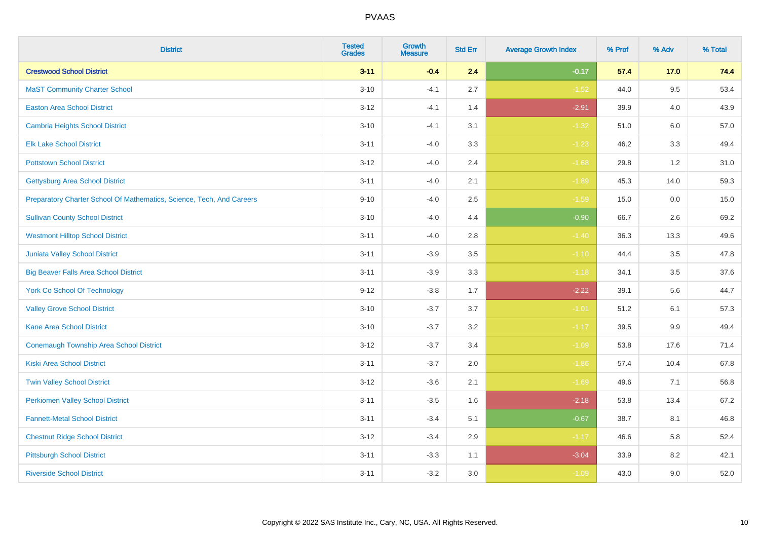| <b>District</b>                                                       | <b>Tested</b><br><b>Grades</b> | <b>Growth</b><br><b>Measure</b> | <b>Std Err</b> | <b>Average Growth Index</b> | % Prof | % Adv   | % Total |
|-----------------------------------------------------------------------|--------------------------------|---------------------------------|----------------|-----------------------------|--------|---------|---------|
| <b>Crestwood School District</b>                                      | $3 - 11$                       | $-0.4$                          | 2.4            | $-0.17$                     | 57.4   | 17.0    | 74.4    |
| <b>MaST Community Charter School</b>                                  | $3 - 10$                       | $-4.1$                          | 2.7            | $-1.52$                     | 44.0   | 9.5     | 53.4    |
| <b>Easton Area School District</b>                                    | $3 - 12$                       | $-4.1$                          | 1.4            | $-2.91$                     | 39.9   | 4.0     | 43.9    |
| <b>Cambria Heights School District</b>                                | $3 - 10$                       | $-4.1$                          | 3.1            | $-1.32$                     | 51.0   | $6.0\,$ | 57.0    |
| <b>Elk Lake School District</b>                                       | $3 - 11$                       | $-4.0$                          | 3.3            | $-1.23$                     | 46.2   | 3.3     | 49.4    |
| <b>Pottstown School District</b>                                      | $3 - 12$                       | $-4.0$                          | 2.4            | $-1.68$                     | 29.8   | 1.2     | 31.0    |
| <b>Gettysburg Area School District</b>                                | $3 - 11$                       | $-4.0$                          | 2.1            | $-1.89$                     | 45.3   | 14.0    | 59.3    |
| Preparatory Charter School Of Mathematics, Science, Tech, And Careers | $9 - 10$                       | $-4.0$                          | 2.5            | $-1.59$                     | 15.0   | 0.0     | 15.0    |
| <b>Sullivan County School District</b>                                | $3 - 10$                       | $-4.0$                          | 4.4            | $-0.90$                     | 66.7   | 2.6     | 69.2    |
| <b>Westmont Hilltop School District</b>                               | $3 - 11$                       | $-4.0$                          | 2.8            | $-1.40$                     | 36.3   | 13.3    | 49.6    |
| Juniata Valley School District                                        | $3 - 11$                       | $-3.9$                          | 3.5            | $-1.10$                     | 44.4   | 3.5     | 47.8    |
| <b>Big Beaver Falls Area School District</b>                          | $3 - 11$                       | $-3.9$                          | 3.3            | $-1.18$                     | 34.1   | 3.5     | 37.6    |
| <b>York Co School Of Technology</b>                                   | $9 - 12$                       | $-3.8$                          | 1.7            | $-2.22$                     | 39.1   | 5.6     | 44.7    |
| <b>Valley Grove School District</b>                                   | $3 - 10$                       | $-3.7$                          | 3.7            | $-1.01$                     | 51.2   | 6.1     | 57.3    |
| <b>Kane Area School District</b>                                      | $3 - 10$                       | $-3.7$                          | 3.2            | $-1.17$                     | 39.5   | 9.9     | 49.4    |
| <b>Conemaugh Township Area School District</b>                        | $3 - 12$                       | $-3.7$                          | 3.4            | $-1.09$                     | 53.8   | 17.6    | 71.4    |
| <b>Kiski Area School District</b>                                     | $3 - 11$                       | $-3.7$                          | 2.0            | $-1.86$                     | 57.4   | 10.4    | 67.8    |
| <b>Twin Valley School District</b>                                    | $3 - 12$                       | $-3.6$                          | 2.1            | $-1.69$                     | 49.6   | 7.1     | 56.8    |
| <b>Perkiomen Valley School District</b>                               | $3 - 11$                       | $-3.5$                          | 1.6            | $-2.18$                     | 53.8   | 13.4    | 67.2    |
| <b>Fannett-Metal School District</b>                                  | $3 - 11$                       | $-3.4$                          | 5.1            | $-0.67$                     | 38.7   | 8.1     | 46.8    |
| <b>Chestnut Ridge School District</b>                                 | $3 - 12$                       | $-3.4$                          | 2.9            | $-1.17$                     | 46.6   | 5.8     | 52.4    |
| <b>Pittsburgh School District</b>                                     | $3 - 11$                       | $-3.3$                          | 1.1            | $-3.04$                     | 33.9   | 8.2     | 42.1    |
| <b>Riverside School District</b>                                      | $3 - 11$                       | $-3.2$                          | 3.0            | $-1.09$                     | 43.0   | 9.0     | 52.0    |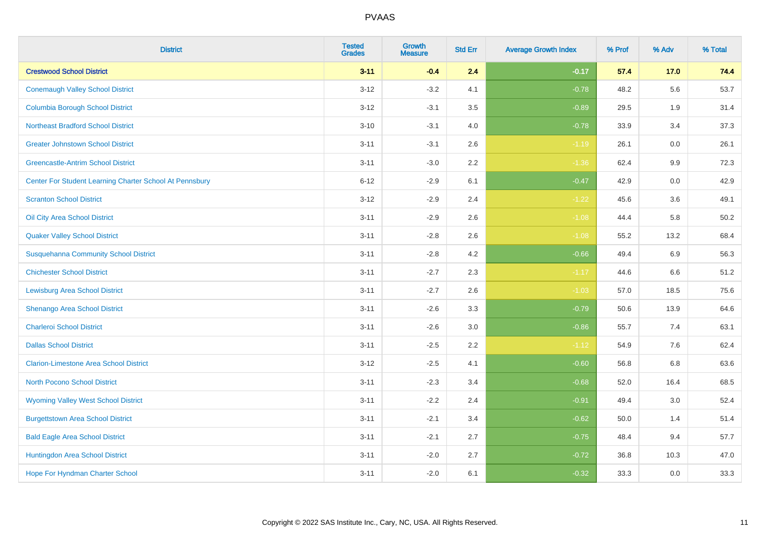| <b>District</b>                                         | <b>Tested</b><br><b>Grades</b> | <b>Growth</b><br><b>Measure</b> | <b>Std Err</b> | <b>Average Growth Index</b> | % Prof | % Adv   | % Total |
|---------------------------------------------------------|--------------------------------|---------------------------------|----------------|-----------------------------|--------|---------|---------|
| <b>Crestwood School District</b>                        | $3 - 11$                       | $-0.4$                          | 2.4            | $-0.17$                     | 57.4   | 17.0    | 74.4    |
| <b>Conemaugh Valley School District</b>                 | $3 - 12$                       | $-3.2$                          | 4.1            | $-0.78$                     | 48.2   | 5.6     | 53.7    |
| <b>Columbia Borough School District</b>                 | $3 - 12$                       | $-3.1$                          | 3.5            | $-0.89$                     | 29.5   | 1.9     | 31.4    |
| <b>Northeast Bradford School District</b>               | $3 - 10$                       | $-3.1$                          | 4.0            | $-0.78$                     | 33.9   | 3.4     | 37.3    |
| <b>Greater Johnstown School District</b>                | $3 - 11$                       | $-3.1$                          | 2.6            | $-1.19$                     | 26.1   | 0.0     | 26.1    |
| <b>Greencastle-Antrim School District</b>               | $3 - 11$                       | $-3.0$                          | 2.2            | $-1.36$                     | 62.4   | $9.9\,$ | 72.3    |
| Center For Student Learning Charter School At Pennsbury | $6 - 12$                       | $-2.9$                          | 6.1            | $-0.47$                     | 42.9   | $0.0\,$ | 42.9    |
| <b>Scranton School District</b>                         | $3 - 12$                       | $-2.9$                          | 2.4            | $-1.22$                     | 45.6   | 3.6     | 49.1    |
| Oil City Area School District                           | $3 - 11$                       | $-2.9$                          | 2.6            | $-1.08$                     | 44.4   | 5.8     | 50.2    |
| <b>Quaker Valley School District</b>                    | $3 - 11$                       | $-2.8$                          | $2.6\,$        | $-1.08$                     | 55.2   | 13.2    | 68.4    |
| <b>Susquehanna Community School District</b>            | $3 - 11$                       | $-2.8$                          | 4.2            | $-0.66$                     | 49.4   | 6.9     | 56.3    |
| <b>Chichester School District</b>                       | $3 - 11$                       | $-2.7$                          | 2.3            | $-1.17$                     | 44.6   | 6.6     | 51.2    |
| <b>Lewisburg Area School District</b>                   | $3 - 11$                       | $-2.7$                          | 2.6            | $-1.03$                     | 57.0   | 18.5    | 75.6    |
| Shenango Area School District                           | $3 - 11$                       | $-2.6$                          | 3.3            | $-0.79$                     | 50.6   | 13.9    | 64.6    |
| <b>Charleroi School District</b>                        | $3 - 11$                       | $-2.6$                          | 3.0            | $-0.86$                     | 55.7   | 7.4     | 63.1    |
| <b>Dallas School District</b>                           | $3 - 11$                       | $-2.5$                          | 2.2            | $-1.12$                     | 54.9   | 7.6     | 62.4    |
| <b>Clarion-Limestone Area School District</b>           | $3 - 12$                       | $-2.5$                          | 4.1            | $-0.60$                     | 56.8   | 6.8     | 63.6    |
| North Pocono School District                            | $3 - 11$                       | $-2.3$                          | 3.4            | $-0.68$                     | 52.0   | 16.4    | 68.5    |
| <b>Wyoming Valley West School District</b>              | $3 - 11$                       | $-2.2$                          | 2.4            | $-0.91$                     | 49.4   | 3.0     | 52.4    |
| <b>Burgettstown Area School District</b>                | $3 - 11$                       | $-2.1$                          | 3.4            | $-0.62$                     | 50.0   | 1.4     | 51.4    |
| <b>Bald Eagle Area School District</b>                  | $3 - 11$                       | $-2.1$                          | 2.7            | $-0.75$                     | 48.4   | 9.4     | 57.7    |
| Huntingdon Area School District                         | $3 - 11$                       | $-2.0$                          | 2.7            | $-0.72$                     | 36.8   | 10.3    | 47.0    |
| Hope For Hyndman Charter School                         | $3 - 11$                       | $-2.0$                          | 6.1            | $-0.32$                     | 33.3   | 0.0     | 33.3    |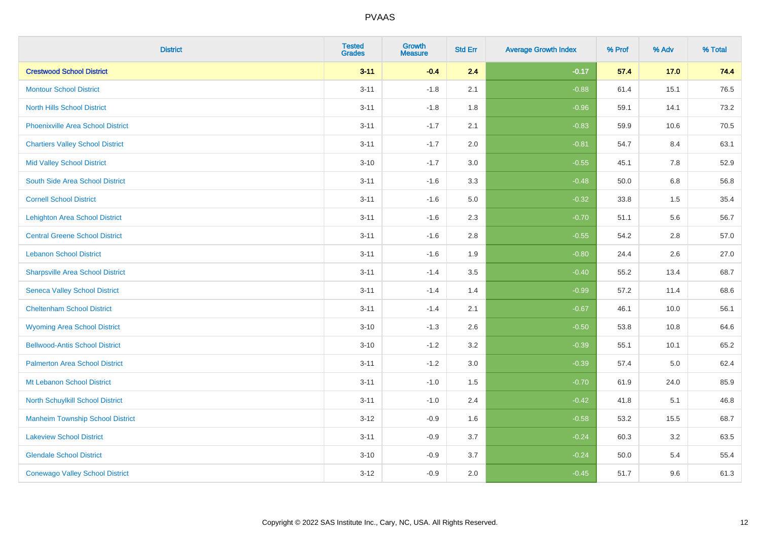| <b>District</b>                          | <b>Tested</b><br><b>Grades</b> | Growth<br><b>Measure</b> | <b>Std Err</b> | <b>Average Growth Index</b> | % Prof | % Adv   | % Total |
|------------------------------------------|--------------------------------|--------------------------|----------------|-----------------------------|--------|---------|---------|
| <b>Crestwood School District</b>         | $3 - 11$                       | $-0.4$                   | 2.4            | $-0.17$                     | 57.4   | 17.0    | 74.4    |
| <b>Montour School District</b>           | $3 - 11$                       | $-1.8$                   | 2.1            | $-0.88$                     | 61.4   | 15.1    | 76.5    |
| <b>North Hills School District</b>       | $3 - 11$                       | $-1.8$                   | 1.8            | $-0.96$                     | 59.1   | 14.1    | 73.2    |
| <b>Phoenixville Area School District</b> | $3 - 11$                       | $-1.7$                   | 2.1            | $-0.83$                     | 59.9   | 10.6    | 70.5    |
| <b>Chartiers Valley School District</b>  | $3 - 11$                       | $-1.7$                   | 2.0            | $-0.81$                     | 54.7   | 8.4     | 63.1    |
| <b>Mid Valley School District</b>        | $3 - 10$                       | $-1.7$                   | 3.0            | $-0.55$                     | 45.1   | 7.8     | 52.9    |
| South Side Area School District          | $3 - 11$                       | $-1.6$                   | 3.3            | $-0.48$                     | 50.0   | $6.8\,$ | 56.8    |
| <b>Cornell School District</b>           | $3 - 11$                       | $-1.6$                   | 5.0            | $-0.32$                     | 33.8   | 1.5     | 35.4    |
| <b>Lehighton Area School District</b>    | $3 - 11$                       | $-1.6$                   | 2.3            | $-0.70$                     | 51.1   | 5.6     | 56.7    |
| <b>Central Greene School District</b>    | $3 - 11$                       | $-1.6$                   | 2.8            | $-0.55$                     | 54.2   | 2.8     | 57.0    |
| <b>Lebanon School District</b>           | $3 - 11$                       | $-1.6$                   | 1.9            | $-0.80$                     | 24.4   | 2.6     | 27.0    |
| <b>Sharpsville Area School District</b>  | $3 - 11$                       | $-1.4$                   | 3.5            | $-0.40$                     | 55.2   | 13.4    | 68.7    |
| <b>Seneca Valley School District</b>     | $3 - 11$                       | $-1.4$                   | 1.4            | $-0.99$                     | 57.2   | 11.4    | 68.6    |
| <b>Cheltenham School District</b>        | $3 - 11$                       | $-1.4$                   | 2.1            | $-0.67$                     | 46.1   | 10.0    | 56.1    |
| <b>Wyoming Area School District</b>      | $3 - 10$                       | $-1.3$                   | 2.6            | $-0.50$                     | 53.8   | 10.8    | 64.6    |
| <b>Bellwood-Antis School District</b>    | $3 - 10$                       | $-1.2$                   | 3.2            | $-0.39$                     | 55.1   | 10.1    | 65.2    |
| <b>Palmerton Area School District</b>    | $3 - 11$                       | $-1.2$                   | 3.0            | $-0.39$                     | 57.4   | 5.0     | 62.4    |
| Mt Lebanon School District               | $3 - 11$                       | $-1.0$                   | 1.5            | $-0.70$                     | 61.9   | 24.0    | 85.9    |
| <b>North Schuylkill School District</b>  | $3 - 11$                       | $-1.0$                   | 2.4            | $-0.42$                     | 41.8   | 5.1     | 46.8    |
| <b>Manheim Township School District</b>  | $3 - 12$                       | $-0.9$                   | 1.6            | $-0.58$                     | 53.2   | 15.5    | 68.7    |
| <b>Lakeview School District</b>          | $3 - 11$                       | $-0.9$                   | 3.7            | $-0.24$                     | 60.3   | 3.2     | 63.5    |
| <b>Glendale School District</b>          | $3 - 10$                       | $-0.9$                   | 3.7            | $-0.24$                     | 50.0   | 5.4     | 55.4    |
| <b>Conewago Valley School District</b>   | $3 - 12$                       | $-0.9$                   | 2.0            | $-0.45$                     | 51.7   | 9.6     | 61.3    |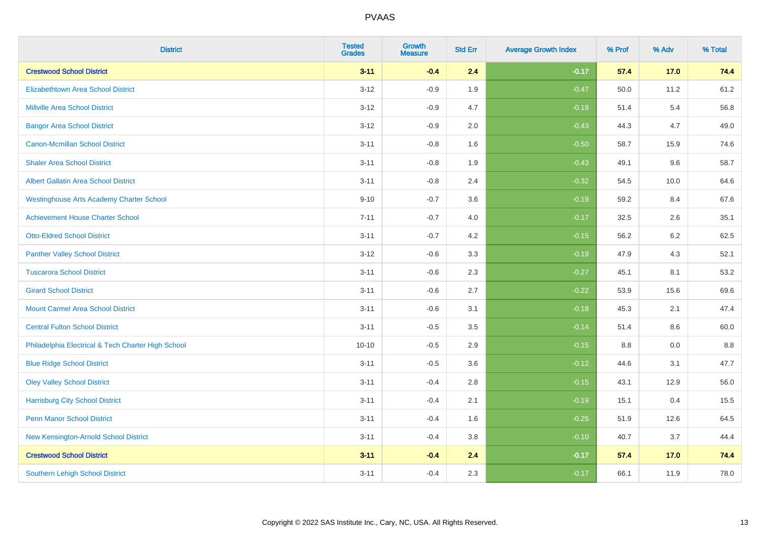| <b>District</b>                                    | <b>Tested</b><br><b>Grades</b> | <b>Growth</b><br><b>Measure</b> | <b>Std Err</b> | <b>Average Growth Index</b> | % Prof | % Adv | % Total |
|----------------------------------------------------|--------------------------------|---------------------------------|----------------|-----------------------------|--------|-------|---------|
| <b>Crestwood School District</b>                   | $3 - 11$                       | $-0.4$                          | 2.4            | $-0.17$                     | 57.4   | 17.0  | 74.4    |
| <b>Elizabethtown Area School District</b>          | $3 - 12$                       | $-0.9$                          | 1.9            | $-0.47$                     | 50.0   | 11.2  | 61.2    |
| <b>Millville Area School District</b>              | $3 - 12$                       | $-0.9$                          | 4.7            | $-0.18$                     | 51.4   | 5.4   | 56.8    |
| <b>Bangor Area School District</b>                 | $3 - 12$                       | $-0.9$                          | 2.0            | $-0.43$                     | 44.3   | 4.7   | 49.0    |
| <b>Canon-Mcmillan School District</b>              | $3 - 11$                       | $-0.8$                          | 1.6            | $-0.50$                     | 58.7   | 15.9  | 74.6    |
| <b>Shaler Area School District</b>                 | $3 - 11$                       | $-0.8$                          | 1.9            | $-0.43$                     | 49.1   | 9.6   | 58.7    |
| Albert Gallatin Area School District               | $3 - 11$                       | $-0.8$                          | 2.4            | $-0.32$                     | 54.5   | 10.0  | 64.6    |
| <b>Westinghouse Arts Academy Charter School</b>    | $9 - 10$                       | $-0.7$                          | 3.6            | $-0.19$                     | 59.2   | 8.4   | 67.6    |
| <b>Achievement House Charter School</b>            | $7 - 11$                       | $-0.7$                          | 4.0            | $-0.17$                     | 32.5   | 2.6   | 35.1    |
| <b>Otto-Eldred School District</b>                 | $3 - 11$                       | $-0.7$                          | 4.2            | $-0.15$                     | 56.2   | 6.2   | 62.5    |
| <b>Panther Valley School District</b>              | $3 - 12$                       | $-0.6$                          | 3.3            | $-0.19$                     | 47.9   | 4.3   | 52.1    |
| <b>Tuscarora School District</b>                   | $3 - 11$                       | $-0.6$                          | 2.3            | $-0.27$                     | 45.1   | 8.1   | 53.2    |
| <b>Girard School District</b>                      | $3 - 11$                       | $-0.6$                          | 2.7            | $-0.22$                     | 53.9   | 15.6  | 69.6    |
| <b>Mount Carmel Area School District</b>           | $3 - 11$                       | $-0.6$                          | 3.1            | $-0.18$                     | 45.3   | 2.1   | 47.4    |
| <b>Central Fulton School District</b>              | $3 - 11$                       | $-0.5$                          | 3.5            | $-0.14$                     | 51.4   | 8.6   | 60.0    |
| Philadelphia Electrical & Tech Charter High School | $10 - 10$                      | $-0.5$                          | 2.9            | $-0.15$                     | 8.8    | 0.0   | 8.8     |
| <b>Blue Ridge School District</b>                  | $3 - 11$                       | $-0.5$                          | 3.6            | $-0.12$                     | 44.6   | 3.1   | 47.7    |
| <b>Oley Valley School District</b>                 | $3 - 11$                       | $-0.4$                          | 2.8            | $-0.15$                     | 43.1   | 12.9  | 56.0    |
| <b>Harrisburg City School District</b>             | $3 - 11$                       | $-0.4$                          | 2.1            | $-0.19$                     | 15.1   | 0.4   | 15.5    |
| <b>Penn Manor School District</b>                  | $3 - 11$                       | $-0.4$                          | 1.6            | $-0.25$                     | 51.9   | 12.6  | 64.5    |
| New Kensington-Arnold School District              | $3 - 11$                       | $-0.4$                          | 3.8            | $-0.10$                     | 40.7   | 3.7   | 44.4    |
| <b>Crestwood School District</b>                   | $3 - 11$                       | $-0.4$                          | 2.4            | $-0.17$                     | 57.4   | 17.0  | 74.4    |
| Southern Lehigh School District                    | $3 - 11$                       | $-0.4$                          | 2.3            | $-0.17$                     | 66.1   | 11.9  | 78.0    |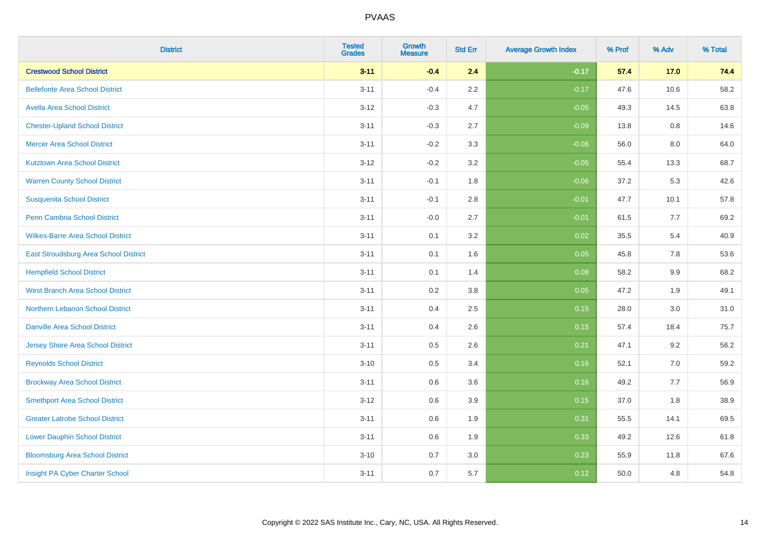| <b>District</b>                          | <b>Tested</b><br><b>Grades</b> | Growth<br><b>Measure</b> | <b>Std Err</b> | <b>Average Growth Index</b> | % Prof | % Adv | % Total |
|------------------------------------------|--------------------------------|--------------------------|----------------|-----------------------------|--------|-------|---------|
| <b>Crestwood School District</b>         | $3 - 11$                       | $-0.4$                   | 2.4            | $-0.17$                     | 57.4   | 17.0  | 74.4    |
| <b>Bellefonte Area School District</b>   | $3 - 11$                       | $-0.4$                   | 2.2            | $-0.17$                     | 47.6   | 10.6  | 58.2    |
| <b>Avella Area School District</b>       | $3 - 12$                       | $-0.3$                   | 4.7            | $-0.05$                     | 49.3   | 14.5  | 63.8    |
| <b>Chester-Upland School District</b>    | $3 - 11$                       | $-0.3$                   | 2.7            | $-0.09$                     | 13.8   | 0.8   | 14.6    |
| <b>Mercer Area School District</b>       | $3 - 11$                       | $-0.2$                   | 3.3            | $-0.06$                     | 56.0   | 8.0   | 64.0    |
| <b>Kutztown Area School District</b>     | $3 - 12$                       | $-0.2$                   | 3.2            | $-0.05$                     | 55.4   | 13.3  | 68.7    |
| <b>Warren County School District</b>     | $3 - 11$                       | $-0.1$                   | 1.8            | $-0.06$                     | 37.2   | 5.3   | 42.6    |
| <b>Susquenita School District</b>        | $3 - 11$                       | $-0.1$                   | 2.8            | $-0.01$                     | 47.7   | 10.1  | 57.8    |
| <b>Penn Cambria School District</b>      | $3 - 11$                       | $-0.0$                   | 2.7            | $-0.01$                     | 61.5   | 7.7   | 69.2    |
| <b>Wilkes-Barre Area School District</b> | $3 - 11$                       | 0.1                      | 3.2            | 0.02                        | 35.5   | 5.4   | 40.9    |
| East Stroudsburg Area School District    | $3 - 11$                       | 0.1                      | 1.6            | 0.05                        | 45.8   | 7.8   | 53.6    |
| <b>Hempfield School District</b>         | $3 - 11$                       | 0.1                      | 1.4            | 0.08                        | 58.2   | 9.9   | 68.2    |
| <b>West Branch Area School District</b>  | $3 - 11$                       | 0.2                      | 3.8            | 0.05                        | 47.2   | 1.9   | 49.1    |
| Northern Lebanon School District         | $3 - 11$                       | 0.4                      | 2.5            | 0.15                        | 28.0   | 3.0   | 31.0    |
| <b>Danville Area School District</b>     | $3 - 11$                       | 0.4                      | 2.6            | 0.15                        | 57.4   | 18.4  | 75.7    |
| Jersey Shore Area School District        | $3 - 11$                       | 0.5                      | 2.6            | 0.21                        | 47.1   | 9.2   | 56.2    |
| <b>Reynolds School District</b>          | $3 - 10$                       | 0.5                      | 3.4            | 0.16                        | 52.1   | 7.0   | 59.2    |
| <b>Brockway Area School District</b>     | $3 - 11$                       | 0.6                      | 3.6            | 0.16                        | 49.2   | 7.7   | 56.9    |
| <b>Smethport Area School District</b>    | $3 - 12$                       | 0.6                      | 3.9            | 0.15                        | 37.0   | 1.8   | 38.9    |
| <b>Greater Latrobe School District</b>   | $3 - 11$                       | 0.6                      | 1.9            | 0.31                        | 55.5   | 14.1  | 69.5    |
| <b>Lower Dauphin School District</b>     | $3 - 11$                       | 0.6                      | 1.9            | 0.33                        | 49.2   | 12.6  | 61.8    |
| <b>Bloomsburg Area School District</b>   | $3 - 10$                       | 0.7                      | 3.0            | 0.23                        | 55.9   | 11.8  | 67.6    |
| Insight PA Cyber Charter School          | $3 - 11$                       | 0.7                      | 5.7            | 0.12                        | 50.0   | 4.8   | 54.8    |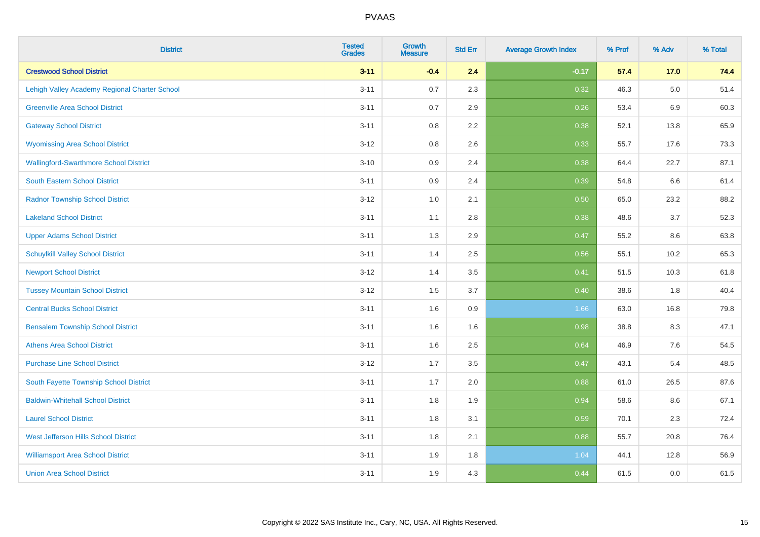| <b>District</b>                               | <b>Tested</b><br><b>Grades</b> | <b>Growth</b><br><b>Measure</b> | <b>Std Err</b> | <b>Average Growth Index</b> | % Prof | % Adv   | % Total |
|-----------------------------------------------|--------------------------------|---------------------------------|----------------|-----------------------------|--------|---------|---------|
| <b>Crestwood School District</b>              | $3 - 11$                       | $-0.4$                          | 2.4            | $-0.17$                     | 57.4   | $17.0$  | 74.4    |
| Lehigh Valley Academy Regional Charter School | $3 - 11$                       | 0.7                             | 2.3            | 0.32                        | 46.3   | $5.0\,$ | 51.4    |
| <b>Greenville Area School District</b>        | $3 - 11$                       | 0.7                             | 2.9            | 0.26                        | 53.4   | 6.9     | 60.3    |
| <b>Gateway School District</b>                | $3 - 11$                       | 0.8                             | 2.2            | 0.38                        | 52.1   | 13.8    | 65.9    |
| <b>Wyomissing Area School District</b>        | $3 - 12$                       | 0.8                             | 2.6            | 0.33                        | 55.7   | 17.6    | 73.3    |
| <b>Wallingford-Swarthmore School District</b> | $3 - 10$                       | 0.9                             | 2.4            | 0.38                        | 64.4   | 22.7    | 87.1    |
| South Eastern School District                 | $3 - 11$                       | 0.9                             | 2.4            | 0.39                        | 54.8   | 6.6     | 61.4    |
| <b>Radnor Township School District</b>        | $3 - 12$                       | 1.0                             | 2.1            | 0.50                        | 65.0   | 23.2    | 88.2    |
| <b>Lakeland School District</b>               | $3 - 11$                       | 1.1                             | 2.8            | 0.38                        | 48.6   | 3.7     | 52.3    |
| <b>Upper Adams School District</b>            | $3 - 11$                       | 1.3                             | 2.9            | 0.47                        | 55.2   | 8.6     | 63.8    |
| <b>Schuylkill Valley School District</b>      | $3 - 11$                       | 1.4                             | 2.5            | 0.56                        | 55.1   | 10.2    | 65.3    |
| <b>Newport School District</b>                | $3 - 12$                       | 1.4                             | 3.5            | 0.41                        | 51.5   | 10.3    | 61.8    |
| <b>Tussey Mountain School District</b>        | $3 - 12$                       | 1.5                             | 3.7            | 0.40                        | 38.6   | 1.8     | 40.4    |
| <b>Central Bucks School District</b>          | $3 - 11$                       | 1.6                             | 0.9            | 1.66                        | 63.0   | 16.8    | 79.8    |
| <b>Bensalem Township School District</b>      | $3 - 11$                       | 1.6                             | 1.6            | 0.98                        | 38.8   | 8.3     | 47.1    |
| <b>Athens Area School District</b>            | $3 - 11$                       | 1.6                             | 2.5            | 0.64                        | 46.9   | $7.6\,$ | 54.5    |
| <b>Purchase Line School District</b>          | $3 - 12$                       | 1.7                             | 3.5            | 0.47                        | 43.1   | 5.4     | 48.5    |
| South Fayette Township School District        | $3 - 11$                       | 1.7                             | 2.0            | 0.88                        | 61.0   | 26.5    | 87.6    |
| <b>Baldwin-Whitehall School District</b>      | $3 - 11$                       | 1.8                             | 1.9            | 0.94                        | 58.6   | 8.6     | 67.1    |
| <b>Laurel School District</b>                 | $3 - 11$                       | 1.8                             | 3.1            | 0.59                        | 70.1   | 2.3     | 72.4    |
| <b>West Jefferson Hills School District</b>   | $3 - 11$                       | 1.8                             | 2.1            | 0.88                        | 55.7   | 20.8    | 76.4    |
| <b>Williamsport Area School District</b>      | $3 - 11$                       | 1.9                             | 1.8            | 1.04                        | 44.1   | 12.8    | 56.9    |
| <b>Union Area School District</b>             | $3 - 11$                       | 1.9                             | 4.3            | 0.44                        | 61.5   | 0.0     | 61.5    |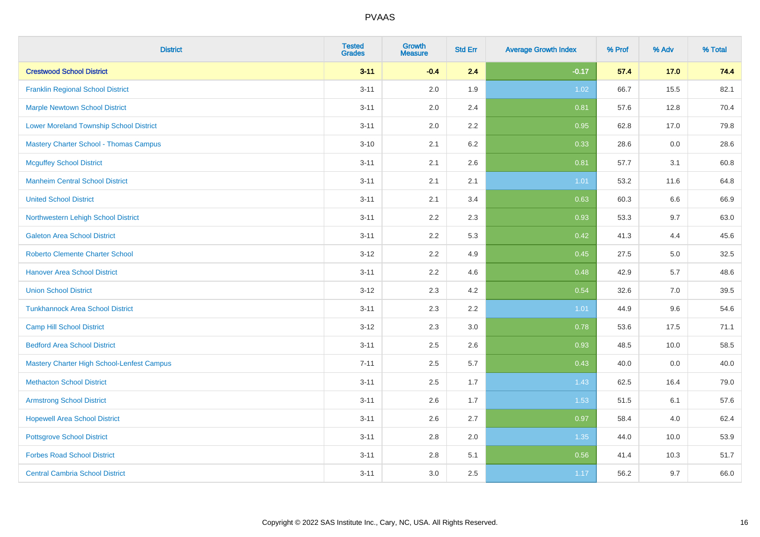| <b>District</b>                                   | <b>Tested</b><br><b>Grades</b> | <b>Growth</b><br><b>Measure</b> | <b>Std Err</b> | <b>Average Growth Index</b> | % Prof | % Adv | % Total |
|---------------------------------------------------|--------------------------------|---------------------------------|----------------|-----------------------------|--------|-------|---------|
| <b>Crestwood School District</b>                  | $3 - 11$                       | $-0.4$                          | 2.4            | $-0.17$                     | 57.4   | 17.0  | 74.4    |
| <b>Franklin Regional School District</b>          | $3 - 11$                       | 2.0                             | 1.9            | 1.02                        | 66.7   | 15.5  | 82.1    |
| <b>Marple Newtown School District</b>             | $3 - 11$                       | 2.0                             | 2.4            | 0.81                        | 57.6   | 12.8  | 70.4    |
| <b>Lower Moreland Township School District</b>    | $3 - 11$                       | 2.0                             | 2.2            | 0.95                        | 62.8   | 17.0  | 79.8    |
| <b>Mastery Charter School - Thomas Campus</b>     | $3 - 10$                       | 2.1                             | 6.2            | 0.33                        | 28.6   | 0.0   | 28.6    |
| <b>Mcguffey School District</b>                   | $3 - 11$                       | 2.1                             | 2.6            | 0.81                        | 57.7   | 3.1   | 60.8    |
| <b>Manheim Central School District</b>            | $3 - 11$                       | 2.1                             | 2.1            | 1.01                        | 53.2   | 11.6  | 64.8    |
| <b>United School District</b>                     | $3 - 11$                       | 2.1                             | 3.4            | 0.63                        | 60.3   | 6.6   | 66.9    |
| Northwestern Lehigh School District               | $3 - 11$                       | 2.2                             | 2.3            | 0.93                        | 53.3   | 9.7   | 63.0    |
| <b>Galeton Area School District</b>               | $3 - 11$                       | 2.2                             | 5.3            | 0.42                        | 41.3   | 4.4   | 45.6    |
| <b>Roberto Clemente Charter School</b>            | $3 - 12$                       | 2.2                             | 4.9            | 0.45                        | 27.5   | 5.0   | 32.5    |
| <b>Hanover Area School District</b>               | $3 - 11$                       | 2.2                             | 4.6            | 0.48                        | 42.9   | 5.7   | 48.6    |
| <b>Union School District</b>                      | $3 - 12$                       | 2.3                             | 4.2            | 0.54                        | 32.6   | 7.0   | 39.5    |
| <b>Tunkhannock Area School District</b>           | $3 - 11$                       | 2.3                             | 2.2            | 1.01                        | 44.9   | 9.6   | 54.6    |
| <b>Camp Hill School District</b>                  | $3 - 12$                       | 2.3                             | 3.0            | 0.78                        | 53.6   | 17.5  | 71.1    |
| <b>Bedford Area School District</b>               | $3 - 11$                       | 2.5                             | 2.6            | 0.93                        | 48.5   | 10.0  | 58.5    |
| <b>Mastery Charter High School-Lenfest Campus</b> | $7 - 11$                       | 2.5                             | 5.7            | 0.43                        | 40.0   | 0.0   | 40.0    |
| <b>Methacton School District</b>                  | $3 - 11$                       | 2.5                             | 1.7            | 1.43                        | 62.5   | 16.4  | 79.0    |
| <b>Armstrong School District</b>                  | $3 - 11$                       | 2.6                             | 1.7            | 1.53                        | 51.5   | 6.1   | 57.6    |
| <b>Hopewell Area School District</b>              | $3 - 11$                       | 2.6                             | 2.7            | 0.97                        | 58.4   | 4.0   | 62.4    |
| <b>Pottsgrove School District</b>                 | $3 - 11$                       | 2.8                             | 2.0            | 1.35                        | 44.0   | 10.0  | 53.9    |
| <b>Forbes Road School District</b>                | $3 - 11$                       | 2.8                             | 5.1            | 0.56                        | 41.4   | 10.3  | 51.7    |
| <b>Central Cambria School District</b>            | $3 - 11$                       | 3.0                             | 2.5            | 1.17                        | 56.2   | 9.7   | 66.0    |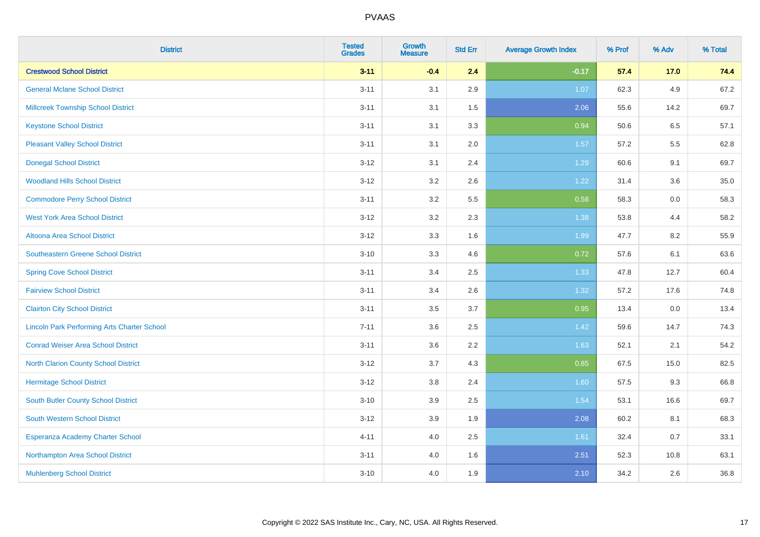| <b>District</b>                                    | <b>Tested</b><br><b>Grades</b> | <b>Growth</b><br><b>Measure</b> | <b>Std Err</b> | <b>Average Growth Index</b> | % Prof | % Adv | % Total |
|----------------------------------------------------|--------------------------------|---------------------------------|----------------|-----------------------------|--------|-------|---------|
| <b>Crestwood School District</b>                   | $3 - 11$                       | $-0.4$                          | 2.4            | $-0.17$                     | 57.4   | 17.0  | 74.4    |
| <b>General Mclane School District</b>              | $3 - 11$                       | 3.1                             | 2.9            | 1.07                        | 62.3   | 4.9   | 67.2    |
| <b>Millcreek Township School District</b>          | $3 - 11$                       | 3.1                             | 1.5            | 2.06                        | 55.6   | 14.2  | 69.7    |
| <b>Keystone School District</b>                    | $3 - 11$                       | 3.1                             | 3.3            | 0.94                        | 50.6   | 6.5   | 57.1    |
| <b>Pleasant Valley School District</b>             | $3 - 11$                       | 3.1                             | 2.0            | 1.57                        | 57.2   | 5.5   | 62.8    |
| <b>Donegal School District</b>                     | $3 - 12$                       | 3.1                             | 2.4            | 1.29                        | 60.6   | 9.1   | 69.7    |
| <b>Woodland Hills School District</b>              | $3 - 12$                       | 3.2                             | 2.6            | 1.22                        | 31.4   | 3.6   | 35.0    |
| <b>Commodore Perry School District</b>             | $3 - 11$                       | 3.2                             | 5.5            | 0.58                        | 58.3   | 0.0   | 58.3    |
| <b>West York Area School District</b>              | $3 - 12$                       | 3.2                             | 2.3            | 1.38                        | 53.8   | 4.4   | 58.2    |
| <b>Altoona Area School District</b>                | $3-12$                         | 3.3                             | 1.6            | 1.99                        | 47.7   | 8.2   | 55.9    |
| Southeastern Greene School District                | $3 - 10$                       | 3.3                             | 4.6            | 0.72                        | 57.6   | 6.1   | 63.6    |
| <b>Spring Cove School District</b>                 | $3 - 11$                       | 3.4                             | 2.5            | 1.33                        | 47.8   | 12.7  | 60.4    |
| <b>Fairview School District</b>                    | $3 - 11$                       | 3.4                             | 2.6            | 1.32                        | 57.2   | 17.6  | 74.8    |
| <b>Clairton City School District</b>               | $3 - 11$                       | $3.5\,$                         | 3.7            | 0.95                        | 13.4   | 0.0   | 13.4    |
| <b>Lincoln Park Performing Arts Charter School</b> | $7 - 11$                       | 3.6                             | 2.5            | 1.42                        | 59.6   | 14.7  | 74.3    |
| <b>Conrad Weiser Area School District</b>          | $3 - 11$                       | 3.6                             | 2.2            | 1.63                        | 52.1   | 2.1   | 54.2    |
| <b>North Clarion County School District</b>        | $3-12$                         | 3.7                             | 4.3            | 0.85                        | 67.5   | 15.0  | 82.5    |
| <b>Hermitage School District</b>                   | $3 - 12$                       | 3.8                             | 2.4            | 1.60                        | 57.5   | 9.3   | 66.8    |
| <b>South Butler County School District</b>         | $3 - 10$                       | 3.9                             | 2.5            | 1.54                        | 53.1   | 16.6  | 69.7    |
| <b>South Western School District</b>               | $3 - 12$                       | 3.9                             | 1.9            | 2.08                        | 60.2   | 8.1   | 68.3    |
| <b>Esperanza Academy Charter School</b>            | $4 - 11$                       | 4.0                             | 2.5            | 1.61                        | 32.4   | 0.7   | 33.1    |
| Northampton Area School District                   | $3 - 11$                       | 4.0                             | 1.6            | 2.51                        | 52.3   | 10.8  | 63.1    |
| <b>Muhlenberg School District</b>                  | $3 - 10$                       | 4.0                             | 1.9            | 2.10                        | 34.2   | 2.6   | 36.8    |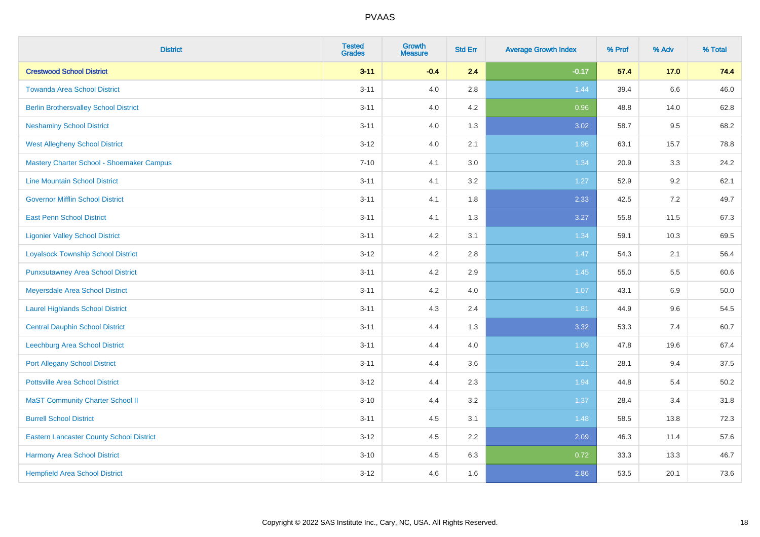| <b>District</b>                                 | <b>Tested</b><br><b>Grades</b> | <b>Growth</b><br><b>Measure</b> | <b>Std Err</b> | <b>Average Growth Index</b> | % Prof | % Adv | % Total |
|-------------------------------------------------|--------------------------------|---------------------------------|----------------|-----------------------------|--------|-------|---------|
| <b>Crestwood School District</b>                | $3 - 11$                       | $-0.4$                          | 2.4            | $-0.17$                     | 57.4   | 17.0  | 74.4    |
| <b>Towanda Area School District</b>             | $3 - 11$                       | 4.0                             | 2.8            | 1.44                        | 39.4   | 6.6   | 46.0    |
| <b>Berlin Brothersvalley School District</b>    | $3 - 11$                       | 4.0                             | 4.2            | 0.96                        | 48.8   | 14.0  | 62.8    |
| <b>Neshaminy School District</b>                | $3 - 11$                       | 4.0                             | 1.3            | 3.02                        | 58.7   | 9.5   | 68.2    |
| <b>West Allegheny School District</b>           | $3 - 12$                       | 4.0                             | 2.1            | 1.96                        | 63.1   | 15.7  | 78.8    |
| Mastery Charter School - Shoemaker Campus       | $7 - 10$                       | 4.1                             | 3.0            | 1.34                        | 20.9   | 3.3   | 24.2    |
| <b>Line Mountain School District</b>            | $3 - 11$                       | 4.1                             | 3.2            | 1.27                        | 52.9   | 9.2   | 62.1    |
| <b>Governor Mifflin School District</b>         | $3 - 11$                       | 4.1                             | 1.8            | 2.33                        | 42.5   | 7.2   | 49.7    |
| <b>East Penn School District</b>                | $3 - 11$                       | 4.1                             | 1.3            | 3.27                        | 55.8   | 11.5  | 67.3    |
| <b>Ligonier Valley School District</b>          | $3 - 11$                       | 4.2                             | 3.1            | 1.34                        | 59.1   | 10.3  | 69.5    |
| <b>Loyalsock Township School District</b>       | $3 - 12$                       | 4.2                             | 2.8            | 1.47                        | 54.3   | 2.1   | 56.4    |
| <b>Punxsutawney Area School District</b>        | $3 - 11$                       | 4.2                             | 2.9            | 1.45                        | 55.0   | 5.5   | 60.6    |
| Meyersdale Area School District                 | $3 - 11$                       | 4.2                             | 4.0            | 1.07                        | 43.1   | 6.9   | 50.0    |
| <b>Laurel Highlands School District</b>         | $3 - 11$                       | 4.3                             | 2.4            | 1.81                        | 44.9   | 9.6   | 54.5    |
| <b>Central Dauphin School District</b>          | $3 - 11$                       | 4.4                             | 1.3            | 3.32                        | 53.3   | 7.4   | 60.7    |
| Leechburg Area School District                  | $3 - 11$                       | 4.4                             | 4.0            | 1.09                        | 47.8   | 19.6  | 67.4    |
| <b>Port Allegany School District</b>            | $3 - 11$                       | 4.4                             | 3.6            | 1.21                        | 28.1   | 9.4   | 37.5    |
| <b>Pottsville Area School District</b>          | $3 - 12$                       | 4.4                             | 2.3            | 1.94                        | 44.8   | 5.4   | 50.2    |
| <b>MaST Community Charter School II</b>         | $3 - 10$                       | 4.4                             | 3.2            | 1.37                        | 28.4   | 3.4   | 31.8    |
| <b>Burrell School District</b>                  | $3 - 11$                       | 4.5                             | 3.1            | 1.48                        | 58.5   | 13.8  | 72.3    |
| <b>Eastern Lancaster County School District</b> | $3 - 12$                       | 4.5                             | 2.2            | 2.09                        | 46.3   | 11.4  | 57.6    |
| Harmony Area School District                    | $3 - 10$                       | 4.5                             | 6.3            | 0.72                        | 33.3   | 13.3  | 46.7    |
| <b>Hempfield Area School District</b>           | $3 - 12$                       | 4.6                             | 1.6            | 2.86                        | 53.5   | 20.1  | 73.6    |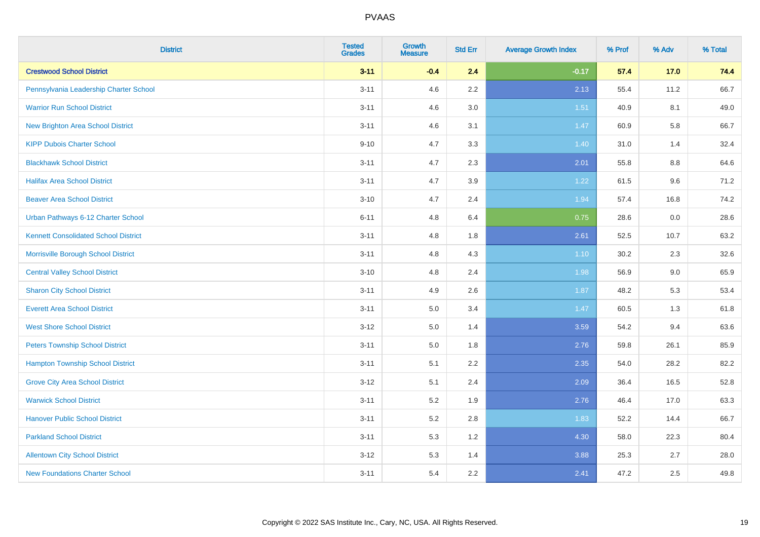| <b>District</b>                             | <b>Tested</b><br><b>Grades</b> | <b>Growth</b><br><b>Measure</b> | <b>Std Err</b> | <b>Average Growth Index</b> | % Prof | % Adv   | % Total |
|---------------------------------------------|--------------------------------|---------------------------------|----------------|-----------------------------|--------|---------|---------|
| <b>Crestwood School District</b>            | $3 - 11$                       | $-0.4$                          | 2.4            | $-0.17$                     | 57.4   | 17.0    | 74.4    |
| Pennsylvania Leadership Charter School      | $3 - 11$                       | 4.6                             | 2.2            | 2.13                        | 55.4   | 11.2    | 66.7    |
| <b>Warrior Run School District</b>          | $3 - 11$                       | 4.6                             | 3.0            | 1.51                        | 40.9   | 8.1     | 49.0    |
| <b>New Brighton Area School District</b>    | $3 - 11$                       | 4.6                             | 3.1            | 1.47                        | 60.9   | 5.8     | 66.7    |
| <b>KIPP Dubois Charter School</b>           | $9 - 10$                       | 4.7                             | 3.3            | 1.40                        | 31.0   | 1.4     | 32.4    |
| <b>Blackhawk School District</b>            | $3 - 11$                       | 4.7                             | 2.3            | 2.01                        | 55.8   | $8.8\,$ | 64.6    |
| <b>Halifax Area School District</b>         | $3 - 11$                       | 4.7                             | 3.9            | 1.22                        | 61.5   | 9.6     | 71.2    |
| <b>Beaver Area School District</b>          | $3 - 10$                       | 4.7                             | 2.4            | 1.94                        | 57.4   | 16.8    | 74.2    |
| Urban Pathways 6-12 Charter School          | $6 - 11$                       | 4.8                             | 6.4            | 0.75                        | 28.6   | 0.0     | 28.6    |
| <b>Kennett Consolidated School District</b> | $3 - 11$                       | 4.8                             | 1.8            | 2.61                        | 52.5   | 10.7    | 63.2    |
| Morrisville Borough School District         | $3 - 11$                       | 4.8                             | 4.3            | $1.10$                      | 30.2   | 2.3     | 32.6    |
| <b>Central Valley School District</b>       | $3 - 10$                       | 4.8                             | 2.4            | 1.98                        | 56.9   | 9.0     | 65.9    |
| <b>Sharon City School District</b>          | $3 - 11$                       | 4.9                             | 2.6            | 1.87                        | 48.2   | 5.3     | 53.4    |
| <b>Everett Area School District</b>         | $3 - 11$                       | 5.0                             | 3.4            | 1.47                        | 60.5   | 1.3     | 61.8    |
| <b>West Shore School District</b>           | $3 - 12$                       | 5.0                             | 1.4            | 3.59                        | 54.2   | 9.4     | 63.6    |
| <b>Peters Township School District</b>      | $3 - 11$                       | 5.0                             | 1.8            | 2.76                        | 59.8   | 26.1    | 85.9    |
| <b>Hampton Township School District</b>     | $3 - 11$                       | 5.1                             | 2.2            | 2.35                        | 54.0   | 28.2    | 82.2    |
| <b>Grove City Area School District</b>      | $3 - 12$                       | 5.1                             | 2.4            | 2.09                        | 36.4   | 16.5    | 52.8    |
| <b>Warwick School District</b>              | $3 - 11$                       | 5.2                             | 1.9            | 2.76                        | 46.4   | 17.0    | 63.3    |
| <b>Hanover Public School District</b>       | $3 - 11$                       | 5.2                             | 2.8            | 1.83                        | 52.2   | 14.4    | 66.7    |
| <b>Parkland School District</b>             | $3 - 11$                       | 5.3                             | 1.2            | 4.30                        | 58.0   | 22.3    | 80.4    |
| <b>Allentown City School District</b>       | $3 - 12$                       | 5.3                             | 1.4            | 3.88                        | 25.3   | 2.7     | 28.0    |
| <b>New Foundations Charter School</b>       | $3 - 11$                       | 5.4                             | 2.2            | 2.41                        | 47.2   | 2.5     | 49.8    |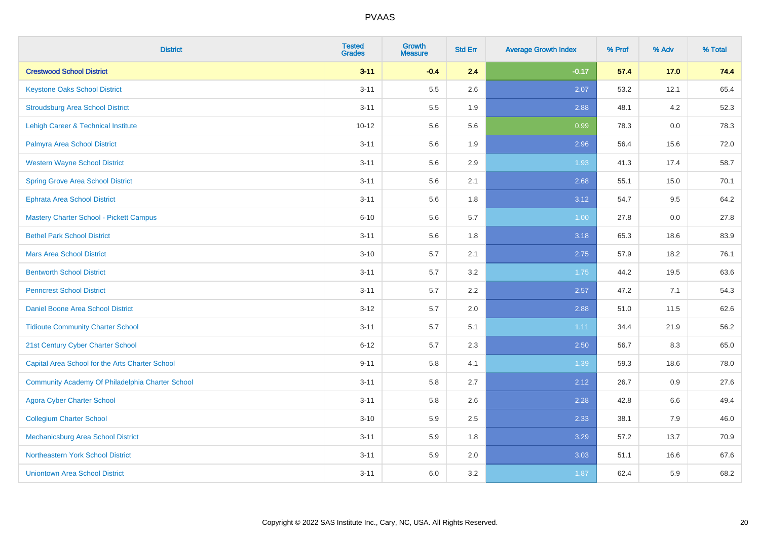| <b>District</b>                                  | <b>Tested</b><br><b>Grades</b> | <b>Growth</b><br><b>Measure</b> | <b>Std Err</b> | <b>Average Growth Index</b> | % Prof | % Adv | % Total |
|--------------------------------------------------|--------------------------------|---------------------------------|----------------|-----------------------------|--------|-------|---------|
| <b>Crestwood School District</b>                 | $3 - 11$                       | $-0.4$                          | 2.4            | $-0.17$                     | 57.4   | 17.0  | 74.4    |
| <b>Keystone Oaks School District</b>             | $3 - 11$                       | 5.5                             | 2.6            | 2.07                        | 53.2   | 12.1  | 65.4    |
| <b>Stroudsburg Area School District</b>          | $3 - 11$                       | $5.5\,$                         | 1.9            | 2.88                        | 48.1   | 4.2   | 52.3    |
| <b>Lehigh Career &amp; Technical Institute</b>   | $10 - 12$                      | 5.6                             | 5.6            | 0.99                        | 78.3   | 0.0   | 78.3    |
| Palmyra Area School District                     | $3 - 11$                       | 5.6                             | 1.9            | 2.96                        | 56.4   | 15.6  | 72.0    |
| <b>Western Wayne School District</b>             | $3 - 11$                       | 5.6                             | 2.9            | 1.93                        | 41.3   | 17.4  | 58.7    |
| <b>Spring Grove Area School District</b>         | $3 - 11$                       | 5.6                             | 2.1            | 2.68                        | 55.1   | 15.0  | 70.1    |
| <b>Ephrata Area School District</b>              | $3 - 11$                       | 5.6                             | 1.8            | 3.12                        | 54.7   | 9.5   | 64.2    |
| Mastery Charter School - Pickett Campus          | $6 - 10$                       | 5.6                             | 5.7            | 1.00                        | 27.8   | 0.0   | 27.8    |
| <b>Bethel Park School District</b>               | $3 - 11$                       | $5.6\,$                         | 1.8            | 3.18                        | 65.3   | 18.6  | 83.9    |
| <b>Mars Area School District</b>                 | $3 - 10$                       | 5.7                             | 2.1            | 2.75                        | 57.9   | 18.2  | 76.1    |
| <b>Bentworth School District</b>                 | $3 - 11$                       | 5.7                             | 3.2            | 1.75                        | 44.2   | 19.5  | 63.6    |
| <b>Penncrest School District</b>                 | $3 - 11$                       | 5.7                             | 2.2            | 2.57                        | 47.2   | 7.1   | 54.3    |
| Daniel Boone Area School District                | $3 - 12$                       | 5.7                             | 2.0            | 2.88                        | 51.0   | 11.5  | 62.6    |
| <b>Tidioute Community Charter School</b>         | $3 - 11$                       | 5.7                             | 5.1            | 1.11                        | 34.4   | 21.9  | 56.2    |
| 21st Century Cyber Charter School                | $6 - 12$                       | 5.7                             | 2.3            | 2.50                        | 56.7   | 8.3   | 65.0    |
| Capital Area School for the Arts Charter School  | $9 - 11$                       | 5.8                             | 4.1            | 1.39                        | 59.3   | 18.6  | 78.0    |
| Community Academy Of Philadelphia Charter School | $3 - 11$                       | 5.8                             | 2.7            | 2.12                        | 26.7   | 0.9   | 27.6    |
| <b>Agora Cyber Charter School</b>                | $3 - 11$                       | 5.8                             | 2.6            | 2.28                        | 42.8   | 6.6   | 49.4    |
| <b>Collegium Charter School</b>                  | $3 - 10$                       | 5.9                             | 2.5            | 2.33                        | 38.1   | 7.9   | 46.0    |
| <b>Mechanicsburg Area School District</b>        | $3 - 11$                       | 5.9                             | 1.8            | 3.29                        | 57.2   | 13.7  | 70.9    |
| Northeastern York School District                | $3 - 11$                       | 5.9                             | 2.0            | 3.03                        | 51.1   | 16.6  | 67.6    |
| <b>Uniontown Area School District</b>            | $3 - 11$                       | 6.0                             | 3.2            | 1.87                        | 62.4   | 5.9   | 68.2    |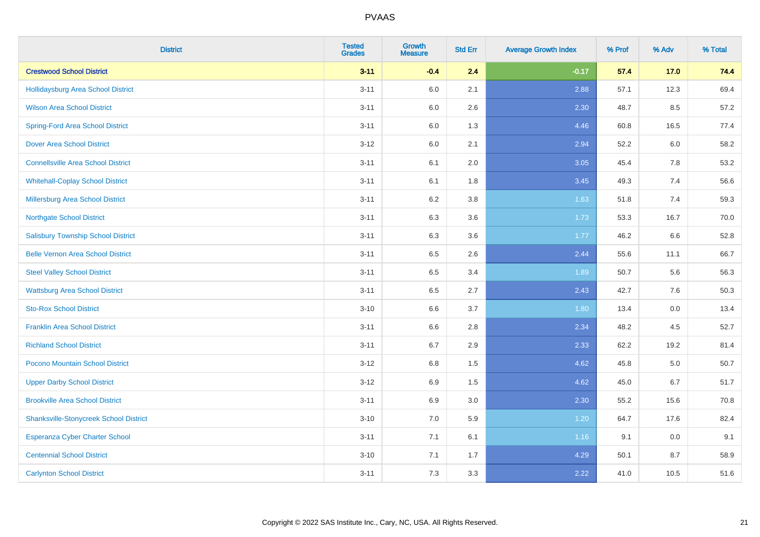| <b>District</b>                               | <b>Tested</b><br><b>Grades</b> | <b>Growth</b><br><b>Measure</b> | <b>Std Err</b> | <b>Average Growth Index</b> | % Prof | % Adv   | % Total |
|-----------------------------------------------|--------------------------------|---------------------------------|----------------|-----------------------------|--------|---------|---------|
| <b>Crestwood School District</b>              | $3 - 11$                       | $-0.4$                          | 2.4            | $-0.17$                     | 57.4   | 17.0    | 74.4    |
| Hollidaysburg Area School District            | $3 - 11$                       | 6.0                             | 2.1            | 2.88                        | 57.1   | 12.3    | 69.4    |
| <b>Wilson Area School District</b>            | $3 - 11$                       | 6.0                             | 2.6            | 2.30                        | 48.7   | 8.5     | 57.2    |
| <b>Spring-Ford Area School District</b>       | $3 - 11$                       | $6.0\,$                         | 1.3            | 4.46                        | 60.8   | 16.5    | 77.4    |
| <b>Dover Area School District</b>             | $3 - 12$                       | 6.0                             | 2.1            | 2.94                        | 52.2   | 6.0     | 58.2    |
| <b>Connellsville Area School District</b>     | $3 - 11$                       | 6.1                             | 2.0            | 3.05                        | 45.4   | 7.8     | 53.2    |
| <b>Whitehall-Coplay School District</b>       | $3 - 11$                       | 6.1                             | 1.8            | 3.45                        | 49.3   | 7.4     | 56.6    |
| <b>Millersburg Area School District</b>       | $3 - 11$                       | 6.2                             | 3.8            | 1.63                        | 51.8   | 7.4     | 59.3    |
| <b>Northgate School District</b>              | $3 - 11$                       | 6.3                             | 3.6            | 1.73                        | 53.3   | 16.7    | 70.0    |
| <b>Salisbury Township School District</b>     | $3 - 11$                       | 6.3                             | 3.6            | 1.77                        | 46.2   | 6.6     | 52.8    |
| <b>Belle Vernon Area School District</b>      | $3 - 11$                       | 6.5                             | 2.6            | 2.44                        | 55.6   | 11.1    | 66.7    |
| <b>Steel Valley School District</b>           | $3 - 11$                       | 6.5                             | 3.4            | 1.89                        | 50.7   | 5.6     | 56.3    |
| <b>Wattsburg Area School District</b>         | $3 - 11$                       | 6.5                             | 2.7            | 2.43                        | 42.7   | 7.6     | 50.3    |
| <b>Sto-Rox School District</b>                | $3 - 10$                       | 6.6                             | 3.7            | 1.80                        | 13.4   | $0.0\,$ | 13.4    |
| <b>Franklin Area School District</b>          | $3 - 11$                       | 6.6                             | 2.8            | 2.34                        | 48.2   | 4.5     | 52.7    |
| <b>Richland School District</b>               | $3 - 11$                       | 6.7                             | 2.9            | 2.33                        | 62.2   | 19.2    | 81.4    |
| Pocono Mountain School District               | $3-12$                         | 6.8                             | 1.5            | 4.62                        | 45.8   | 5.0     | 50.7    |
| <b>Upper Darby School District</b>            | $3-12$                         | 6.9                             | 1.5            | 4.62                        | 45.0   | 6.7     | 51.7    |
| <b>Brookville Area School District</b>        | $3 - 11$                       | 6.9                             | 3.0            | 2.30                        | 55.2   | 15.6    | 70.8    |
| <b>Shanksville-Stonycreek School District</b> | $3 - 10$                       | 7.0                             | 5.9            | 1.20                        | 64.7   | 17.6    | 82.4    |
| <b>Esperanza Cyber Charter School</b>         | $3 - 11$                       | 7.1                             | 6.1            | 1.16                        | 9.1    | 0.0     | 9.1     |
| <b>Centennial School District</b>             | $3 - 10$                       | 7.1                             | 1.7            | 4.29                        | 50.1   | 8.7     | 58.9    |
| <b>Carlynton School District</b>              | $3 - 11$                       | 7.3                             | 3.3            | 2.22                        | 41.0   | 10.5    | 51.6    |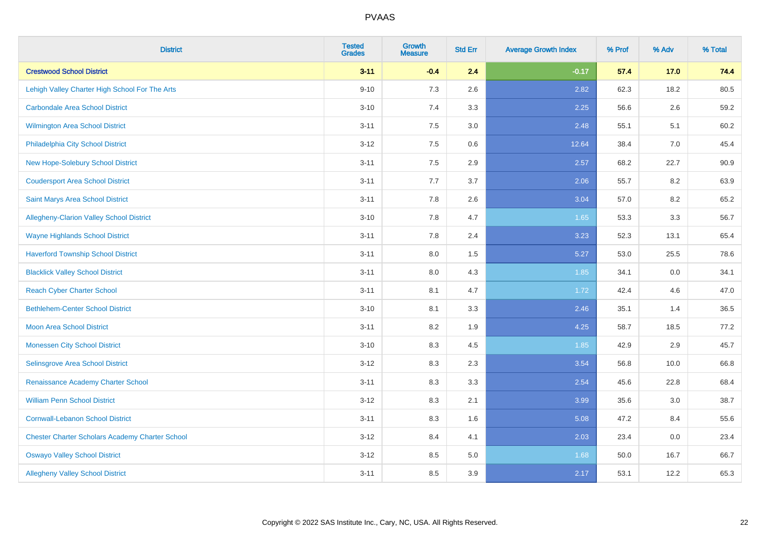| <b>District</b>                                        | <b>Tested</b><br><b>Grades</b> | <b>Growth</b><br><b>Measure</b> | <b>Std Err</b> | <b>Average Growth Index</b> | % Prof | % Adv | % Total |
|--------------------------------------------------------|--------------------------------|---------------------------------|----------------|-----------------------------|--------|-------|---------|
| <b>Crestwood School District</b>                       | $3 - 11$                       | $-0.4$                          | 2.4            | $-0.17$                     | 57.4   | 17.0  | 74.4    |
| Lehigh Valley Charter High School For The Arts         | $9 - 10$                       | 7.3                             | 2.6            | 2.82                        | 62.3   | 18.2  | 80.5    |
| <b>Carbondale Area School District</b>                 | $3 - 10$                       | 7.4                             | 3.3            | 2.25                        | 56.6   | 2.6   | 59.2    |
| Wilmington Area School District                        | $3 - 11$                       | $7.5\,$                         | 3.0            | 2.48                        | 55.1   | 5.1   | 60.2    |
| Philadelphia City School District                      | $3 - 12$                       | 7.5                             | 0.6            | 12.64                       | 38.4   | 7.0   | 45.4    |
| <b>New Hope-Solebury School District</b>               | $3 - 11$                       | 7.5                             | 2.9            | 2.57                        | 68.2   | 22.7  | 90.9    |
| <b>Coudersport Area School District</b>                | $3 - 11$                       | 7.7                             | 3.7            | 2.06                        | 55.7   | 8.2   | 63.9    |
| Saint Marys Area School District                       | $3 - 11$                       | 7.8                             | 2.6            | 3.04                        | 57.0   | 8.2   | 65.2    |
| <b>Allegheny-Clarion Valley School District</b>        | $3 - 10$                       | 7.8                             | 4.7            | 1.65                        | 53.3   | 3.3   | 56.7    |
| <b>Wayne Highlands School District</b>                 | $3 - 11$                       | 7.8                             | 2.4            | 3.23                        | 52.3   | 13.1  | 65.4    |
| <b>Haverford Township School District</b>              | $3 - 11$                       | $8.0\,$                         | $1.5\,$        | 5.27                        | 53.0   | 25.5  | 78.6    |
| <b>Blacklick Valley School District</b>                | $3 - 11$                       | 8.0                             | 4.3            | 1.85                        | 34.1   | 0.0   | 34.1    |
| <b>Reach Cyber Charter School</b>                      | $3 - 11$                       | 8.1                             | 4.7            | 1.72                        | 42.4   | 4.6   | 47.0    |
| <b>Bethlehem-Center School District</b>                | $3 - 10$                       | 8.1                             | 3.3            | 2.46                        | 35.1   | 1.4   | 36.5    |
| <b>Moon Area School District</b>                       | $3 - 11$                       | 8.2                             | 1.9            | 4.25                        | 58.7   | 18.5  | 77.2    |
| <b>Monessen City School District</b>                   | $3 - 10$                       | 8.3                             | 4.5            | 1.85                        | 42.9   | 2.9   | 45.7    |
| <b>Selinsgrove Area School District</b>                | $3 - 12$                       | 8.3                             | 2.3            | 3.54                        | 56.8   | 10.0  | 66.8    |
| Renaissance Academy Charter School                     | $3 - 11$                       | 8.3                             | 3.3            | 2.54                        | 45.6   | 22.8  | 68.4    |
| <b>William Penn School District</b>                    | $3 - 12$                       | 8.3                             | 2.1            | 3.99                        | 35.6   | 3.0   | 38.7    |
| <b>Cornwall-Lebanon School District</b>                | $3 - 11$                       | 8.3                             | 1.6            | 5.08                        | 47.2   | 8.4   | 55.6    |
| <b>Chester Charter Scholars Academy Charter School</b> | $3 - 12$                       | 8.4                             | 4.1            | 2.03                        | 23.4   | 0.0   | 23.4    |
| <b>Oswayo Valley School District</b>                   | $3 - 12$                       | 8.5                             | $5.0\,$        | 1.68                        | 50.0   | 16.7  | 66.7    |
| <b>Allegheny Valley School District</b>                | $3 - 11$                       | 8.5                             | 3.9            | 2.17                        | 53.1   | 12.2  | 65.3    |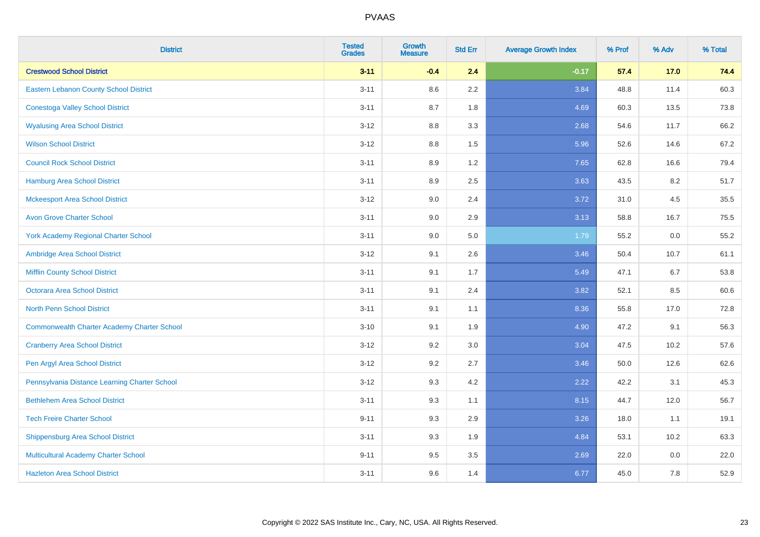| <b>District</b>                                    | <b>Tested</b><br><b>Grades</b> | <b>Growth</b><br><b>Measure</b> | <b>Std Err</b> | <b>Average Growth Index</b> | % Prof | % Adv | % Total |
|----------------------------------------------------|--------------------------------|---------------------------------|----------------|-----------------------------|--------|-------|---------|
| <b>Crestwood School District</b>                   | $3 - 11$                       | $-0.4$                          | 2.4            | $-0.17$                     | 57.4   | 17.0  | 74.4    |
| Eastern Lebanon County School District             | $3 - 11$                       | $8.6\,$                         | 2.2            | 3.84                        | 48.8   | 11.4  | 60.3    |
| <b>Conestoga Valley School District</b>            | $3 - 11$                       | 8.7                             | 1.8            | 4.69                        | 60.3   | 13.5  | 73.8    |
| <b>Wyalusing Area School District</b>              | $3 - 12$                       | 8.8                             | 3.3            | 2.68                        | 54.6   | 11.7  | 66.2    |
| <b>Wilson School District</b>                      | $3 - 12$                       | 8.8                             | 1.5            | 5.96                        | 52.6   | 14.6  | 67.2    |
| <b>Council Rock School District</b>                | $3 - 11$                       | 8.9                             | 1.2            | 7.65                        | 62.8   | 16.6  | 79.4    |
| <b>Hamburg Area School District</b>                | $3 - 11$                       | 8.9                             | 2.5            | 3.63                        | 43.5   | 8.2   | 51.7    |
| <b>Mckeesport Area School District</b>             | $3 - 12$                       | 9.0                             | 2.4            | 3.72                        | 31.0   | 4.5   | 35.5    |
| <b>Avon Grove Charter School</b>                   | $3 - 11$                       | 9.0                             | 2.9            | 3.13                        | 58.8   | 16.7  | 75.5    |
| <b>York Academy Regional Charter School</b>        | $3 - 11$                       | 9.0                             | 5.0            | 1.79                        | 55.2   | 0.0   | 55.2    |
| Ambridge Area School District                      | $3 - 12$                       | 9.1                             | 2.6            | 3.46                        | 50.4   | 10.7  | 61.1    |
| <b>Mifflin County School District</b>              | $3 - 11$                       | 9.1                             | 1.7            | 5.49                        | 47.1   | 6.7   | 53.8    |
| Octorara Area School District                      | $3 - 11$                       | 9.1                             | 2.4            | 3.82                        | 52.1   | 8.5   | 60.6    |
| North Penn School District                         | $3 - 11$                       | 9.1                             | 1.1            | 8.36                        | 55.8   | 17.0  | 72.8    |
| <b>Commonwealth Charter Academy Charter School</b> | $3 - 10$                       | 9.1                             | 1.9            | 4.90                        | 47.2   | 9.1   | 56.3    |
| <b>Cranberry Area School District</b>              | $3 - 12$                       | 9.2                             | 3.0            | 3.04                        | 47.5   | 10.2  | 57.6    |
| Pen Argyl Area School District                     | $3 - 12$                       | 9.2                             | 2.7            | 3.46                        | 50.0   | 12.6  | 62.6    |
| Pennsylvania Distance Learning Charter School      | $3 - 12$                       | 9.3                             | 4.2            | 2.22                        | 42.2   | 3.1   | 45.3    |
| <b>Bethlehem Area School District</b>              | $3 - 11$                       | 9.3                             | 1.1            | 8.15                        | 44.7   | 12.0  | 56.7    |
| <b>Tech Freire Charter School</b>                  | $9 - 11$                       | 9.3                             | 2.9            | 3.26                        | 18.0   | 1.1   | 19.1    |
| <b>Shippensburg Area School District</b>           | $3 - 11$                       | 9.3                             | 1.9            | 4.84                        | 53.1   | 10.2  | 63.3    |
| Multicultural Academy Charter School               | $9 - 11$                       | 9.5                             | 3.5            | 2.69                        | 22.0   | 0.0   | 22.0    |
| <b>Hazleton Area School District</b>               | $3 - 11$                       | 9.6                             | 1.4            | 6.77                        | 45.0   | 7.8   | 52.9    |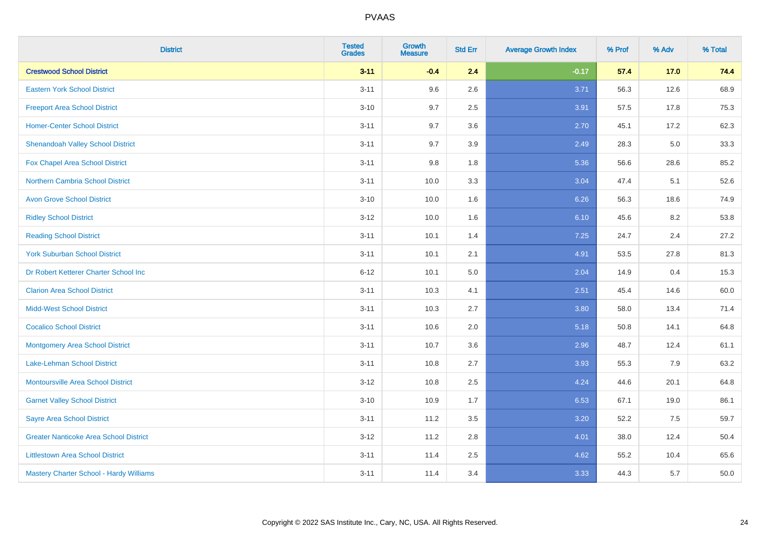| <b>District</b>                               | <b>Tested</b><br><b>Grades</b> | <b>Growth</b><br><b>Measure</b> | <b>Std Err</b> | <b>Average Growth Index</b> | % Prof | % Adv | % Total |
|-----------------------------------------------|--------------------------------|---------------------------------|----------------|-----------------------------|--------|-------|---------|
| <b>Crestwood School District</b>              | $3 - 11$                       | $-0.4$                          | 2.4            | $-0.17$                     | 57.4   | 17.0  | 74.4    |
| <b>Eastern York School District</b>           | $3 - 11$                       | 9.6                             | 2.6            | 3.71                        | 56.3   | 12.6  | 68.9    |
| <b>Freeport Area School District</b>          | $3 - 10$                       | 9.7                             | 2.5            | 3.91                        | 57.5   | 17.8  | 75.3    |
| <b>Homer-Center School District</b>           | $3 - 11$                       | 9.7                             | 3.6            | 2.70                        | 45.1   | 17.2  | 62.3    |
| <b>Shenandoah Valley School District</b>      | $3 - 11$                       | 9.7                             | 3.9            | 2.49                        | 28.3   | 5.0   | 33.3    |
| Fox Chapel Area School District               | $3 - 11$                       | 9.8                             | 1.8            | 5.36                        | 56.6   | 28.6  | 85.2    |
| Northern Cambria School District              | $3 - 11$                       | 10.0                            | 3.3            | 3.04                        | 47.4   | 5.1   | 52.6    |
| <b>Avon Grove School District</b>             | $3 - 10$                       | 10.0                            | 1.6            | 6.26                        | 56.3   | 18.6  | 74.9    |
| <b>Ridley School District</b>                 | $3 - 12$                       | 10.0                            | 1.6            | 6.10                        | 45.6   | 8.2   | 53.8    |
| <b>Reading School District</b>                | $3 - 11$                       | 10.1                            | 1.4            | 7.25                        | 24.7   | 2.4   | 27.2    |
| <b>York Suburban School District</b>          | $3 - 11$                       | 10.1                            | 2.1            | 4.91                        | 53.5   | 27.8  | 81.3    |
| Dr Robert Ketterer Charter School Inc         | $6 - 12$                       | 10.1                            | 5.0            | 2.04                        | 14.9   | 0.4   | 15.3    |
| <b>Clarion Area School District</b>           | $3 - 11$                       | 10.3                            | 4.1            | 2.51                        | 45.4   | 14.6  | 60.0    |
| <b>Midd-West School District</b>              | $3 - 11$                       | 10.3                            | 2.7            | 3.80                        | 58.0   | 13.4  | 71.4    |
| <b>Cocalico School District</b>               | $3 - 11$                       | 10.6                            | 2.0            | 5.18                        | 50.8   | 14.1  | 64.8    |
| <b>Montgomery Area School District</b>        | $3 - 11$                       | 10.7                            | 3.6            | 2.96                        | 48.7   | 12.4  | 61.1    |
| Lake-Lehman School District                   | $3 - 11$                       | 10.8                            | 2.7            | 3.93                        | 55.3   | 7.9   | 63.2    |
| <b>Montoursville Area School District</b>     | $3 - 12$                       | 10.8                            | 2.5            | 4.24                        | 44.6   | 20.1  | 64.8    |
| <b>Garnet Valley School District</b>          | $3 - 10$                       | 10.9                            | 1.7            | 6.53                        | 67.1   | 19.0  | 86.1    |
| <b>Sayre Area School District</b>             | $3 - 11$                       | 11.2                            | 3.5            | 3.20                        | 52.2   | 7.5   | 59.7    |
| <b>Greater Nanticoke Area School District</b> | $3-12$                         | 11.2                            | 2.8            | 4.01                        | 38.0   | 12.4  | 50.4    |
| <b>Littlestown Area School District</b>       | $3 - 11$                       | 11.4                            | 2.5            | 4.62                        | 55.2   | 10.4  | 65.6    |
| Mastery Charter School - Hardy Williams       | $3 - 11$                       | 11.4                            | 3.4            | 3.33                        | 44.3   | 5.7   | 50.0    |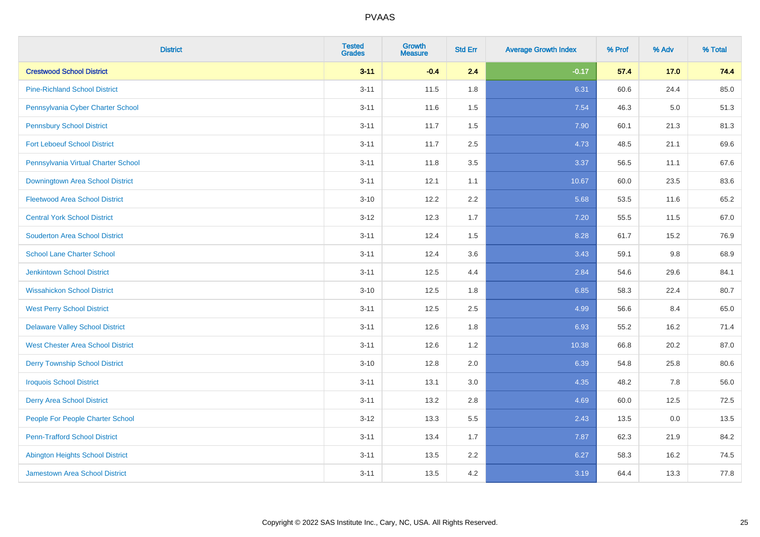| <b>District</b>                          | <b>Tested</b><br><b>Grades</b> | <b>Growth</b><br><b>Measure</b> | <b>Std Err</b> | <b>Average Growth Index</b> | % Prof | % Adv   | % Total |
|------------------------------------------|--------------------------------|---------------------------------|----------------|-----------------------------|--------|---------|---------|
| <b>Crestwood School District</b>         | $3 - 11$                       | $-0.4$                          | 2.4            | $-0.17$                     | 57.4   | 17.0    | 74.4    |
| <b>Pine-Richland School District</b>     | $3 - 11$                       | 11.5                            | 1.8            | 6.31                        | 60.6   | 24.4    | 85.0    |
| Pennsylvania Cyber Charter School        | $3 - 11$                       | 11.6                            | 1.5            | 7.54                        | 46.3   | $5.0\,$ | 51.3    |
| <b>Pennsbury School District</b>         | $3 - 11$                       | 11.7                            | $1.5\,$        | 7.90                        | 60.1   | 21.3    | 81.3    |
| <b>Fort Leboeuf School District</b>      | $3 - 11$                       | 11.7                            | 2.5            | 4.73                        | 48.5   | 21.1    | 69.6    |
| Pennsylvania Virtual Charter School      | $3 - 11$                       | 11.8                            | 3.5            | 3.37                        | 56.5   | 11.1    | 67.6    |
| Downingtown Area School District         | $3 - 11$                       | 12.1                            | 1.1            | 10.67                       | 60.0   | 23.5    | 83.6    |
| <b>Fleetwood Area School District</b>    | $3 - 10$                       | 12.2                            | 2.2            | 5.68                        | 53.5   | 11.6    | 65.2    |
| <b>Central York School District</b>      | $3 - 12$                       | 12.3                            | 1.7            | 7.20                        | 55.5   | 11.5    | 67.0    |
| <b>Souderton Area School District</b>    | $3 - 11$                       | 12.4                            | 1.5            | 8.28                        | 61.7   | 15.2    | 76.9    |
| <b>School Lane Charter School</b>        | $3 - 11$                       | 12.4                            | 3.6            | 3.43                        | 59.1   | 9.8     | 68.9    |
| <b>Jenkintown School District</b>        | $3 - 11$                       | 12.5                            | 4.4            | 2.84                        | 54.6   | 29.6    | 84.1    |
| <b>Wissahickon School District</b>       | $3 - 10$                       | 12.5                            | 1.8            | 6.85                        | 58.3   | 22.4    | 80.7    |
| <b>West Perry School District</b>        | $3 - 11$                       | 12.5                            | 2.5            | 4.99                        | 56.6   | 8.4     | 65.0    |
| <b>Delaware Valley School District</b>   | $3 - 11$                       | 12.6                            | 1.8            | 6.93                        | 55.2   | 16.2    | 71.4    |
| <b>West Chester Area School District</b> | $3 - 11$                       | 12.6                            | 1.2            | 10.38                       | 66.8   | 20.2    | 87.0    |
| <b>Derry Township School District</b>    | $3 - 10$                       | 12.8                            | 2.0            | 6.39                        | 54.8   | 25.8    | 80.6    |
| <b>Iroquois School District</b>          | $3 - 11$                       | 13.1                            | 3.0            | 4.35                        | 48.2   | 7.8     | 56.0    |
| <b>Derry Area School District</b>        | $3 - 11$                       | 13.2                            | 2.8            | 4.69                        | 60.0   | 12.5    | 72.5    |
| People For People Charter School         | $3 - 12$                       | 13.3                            | 5.5            | 2.43                        | 13.5   | 0.0     | 13.5    |
| <b>Penn-Trafford School District</b>     | $3 - 11$                       | 13.4                            | 1.7            | 7.87                        | 62.3   | 21.9    | 84.2    |
| <b>Abington Heights School District</b>  | $3 - 11$                       | 13.5                            | 2.2            | 6.27                        | 58.3   | 16.2    | 74.5    |
| <b>Jamestown Area School District</b>    | $3 - 11$                       | 13.5                            | 4.2            | 3.19                        | 64.4   | 13.3    | 77.8    |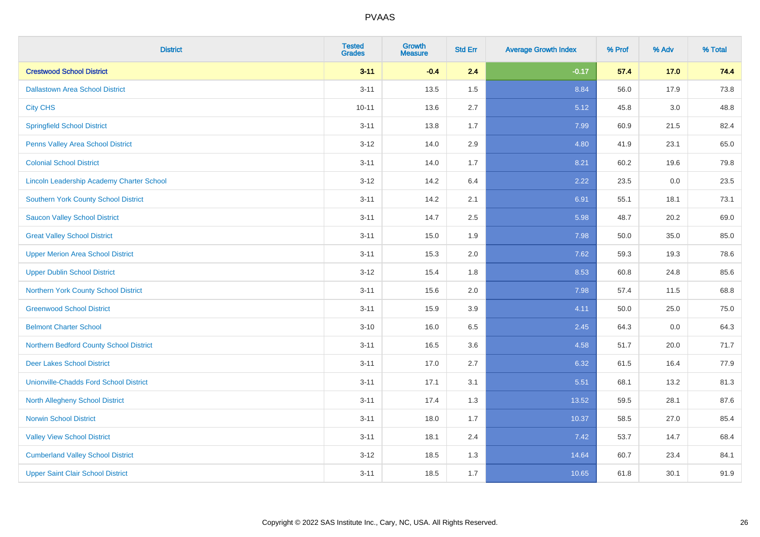| <b>District</b>                                  | <b>Tested</b><br><b>Grades</b> | <b>Growth</b><br><b>Measure</b> | <b>Std Err</b> | <b>Average Growth Index</b> | % Prof | % Adv | % Total |
|--------------------------------------------------|--------------------------------|---------------------------------|----------------|-----------------------------|--------|-------|---------|
| <b>Crestwood School District</b>                 | $3 - 11$                       | $-0.4$                          | 2.4            | $-0.17$                     | 57.4   | 17.0  | 74.4    |
| <b>Dallastown Area School District</b>           | $3 - 11$                       | 13.5                            | 1.5            | 8.84                        | 56.0   | 17.9  | 73.8    |
| <b>City CHS</b>                                  | $10 - 11$                      | 13.6                            | 2.7            | 5.12                        | 45.8   | 3.0   | 48.8    |
| <b>Springfield School District</b>               | $3 - 11$                       | 13.8                            | 1.7            | 7.99                        | 60.9   | 21.5  | 82.4    |
| Penns Valley Area School District                | $3 - 12$                       | 14.0                            | 2.9            | 4.80                        | 41.9   | 23.1  | 65.0    |
| <b>Colonial School District</b>                  | $3 - 11$                       | 14.0                            | 1.7            | 8.21                        | 60.2   | 19.6  | 79.8    |
| <b>Lincoln Leadership Academy Charter School</b> | $3 - 12$                       | 14.2                            | 6.4            | 2.22                        | 23.5   | 0.0   | 23.5    |
| <b>Southern York County School District</b>      | $3 - 11$                       | 14.2                            | 2.1            | 6.91                        | 55.1   | 18.1  | 73.1    |
| <b>Saucon Valley School District</b>             | $3 - 11$                       | 14.7                            | 2.5            | 5.98                        | 48.7   | 20.2  | 69.0    |
| <b>Great Valley School District</b>              | $3 - 11$                       | 15.0                            | 1.9            | 7.98                        | 50.0   | 35.0  | 85.0    |
| <b>Upper Merion Area School District</b>         | $3 - 11$                       | 15.3                            | 2.0            | 7.62                        | 59.3   | 19.3  | 78.6    |
| <b>Upper Dublin School District</b>              | $3 - 12$                       | 15.4                            | 1.8            | 8.53                        | 60.8   | 24.8  | 85.6    |
| Northern York County School District             | $3 - 11$                       | 15.6                            | 2.0            | 7.98                        | 57.4   | 11.5  | 68.8    |
| <b>Greenwood School District</b>                 | $3 - 11$                       | 15.9                            | 3.9            | 4.11                        | 50.0   | 25.0  | 75.0    |
| <b>Belmont Charter School</b>                    | $3 - 10$                       | 16.0                            | 6.5            | 2.45                        | 64.3   | 0.0   | 64.3    |
| Northern Bedford County School District          | $3 - 11$                       | 16.5                            | 3.6            | 4.58                        | 51.7   | 20.0  | 71.7    |
| <b>Deer Lakes School District</b>                | $3 - 11$                       | 17.0                            | 2.7            | 6.32                        | 61.5   | 16.4  | 77.9    |
| <b>Unionville-Chadds Ford School District</b>    | $3 - 11$                       | 17.1                            | 3.1            | 5.51                        | 68.1   | 13.2  | 81.3    |
| <b>North Allegheny School District</b>           | $3 - 11$                       | 17.4                            | 1.3            | 13.52                       | 59.5   | 28.1  | 87.6    |
| <b>Norwin School District</b>                    | $3 - 11$                       | 18.0                            | 1.7            | 10.37                       | 58.5   | 27.0  | 85.4    |
| <b>Valley View School District</b>               | $3 - 11$                       | 18.1                            | 2.4            | 7.42                        | 53.7   | 14.7  | 68.4    |
| <b>Cumberland Valley School District</b>         | $3 - 12$                       | 18.5                            | 1.3            | 14.64                       | 60.7   | 23.4  | 84.1    |
| <b>Upper Saint Clair School District</b>         | $3 - 11$                       | 18.5                            | 1.7            | 10.65                       | 61.8   | 30.1  | 91.9    |